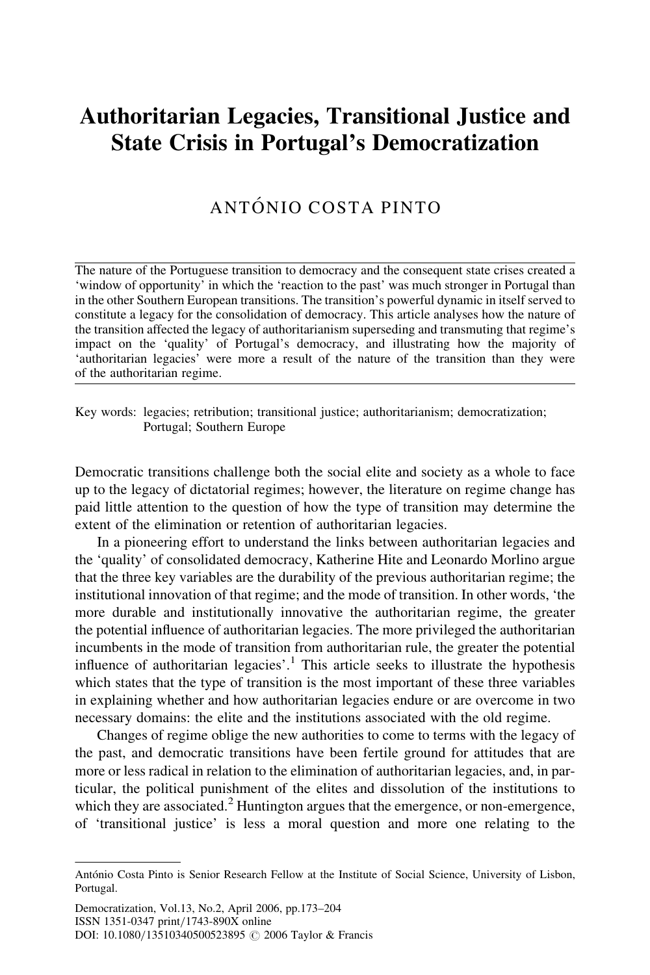# Authoritarian Legacies, Transitional Justice and State Crisis in Portugal's Democratization

## ANTÓNIO COSTA PINTO

The nature of the Portuguese transition to democracy and the consequent state crises created a 'window of opportunity' in which the 'reaction to the past' was much stronger in Portugal than in the other Southern European transitions. The transition's powerful dynamic in itself served to constitute a legacy for the consolidation of democracy. This article analyses how the nature of the transition affected the legacy of authoritarianism superseding and transmuting that regime's impact on the 'quality' of Portugal's democracy, and illustrating how the majority of 'authoritarian legacies' were more a result of the nature of the transition than they were of the authoritarian regime.

Key words: legacies; retribution; transitional justice; authoritarianism; democratization; Portugal; Southern Europe

Democratic transitions challenge both the social elite and society as a whole to face up to the legacy of dictatorial regimes; however, the literature on regime change has paid little attention to the question of how the type of transition may determine the extent of the elimination or retention of authoritarian legacies.

In a pioneering effort to understand the links between authoritarian legacies and the 'quality' of consolidated democracy, Katherine Hite and Leonardo Morlino argue that the three key variables are the durability of the previous authoritarian regime; the institutional innovation of that regime; and the mode of transition. In other words, 'the more durable and institutionally innovative the authoritarian regime, the greater the potential influence of authoritarian legacies. The more privileged the authoritarian incumbents in the mode of transition from authoritarian rule, the greater the potential influence of authoritarian legacies'.<sup>1</sup> This article seeks to illustrate the hypothesis which states that the type of transition is the most important of these three variables in explaining whether and how authoritarian legacies endure or are overcome in two necessary domains: the elite and the institutions associated with the old regime.

Changes of regime oblige the new authorities to come to terms with the legacy of the past, and democratic transitions have been fertile ground for attitudes that are more or less radical in relation to the elimination of authoritarian legacies, and, in particular, the political punishment of the elites and dissolution of the institutions to which they are associated. $<sup>2</sup>$  Huntington argues that the emergence, or non-emergence,</sup> of 'transitional justice' is less a moral question and more one relating to the

António Costa Pinto is Senior Research Fellow at the Institute of Social Science, University of Lisbon, Portugal.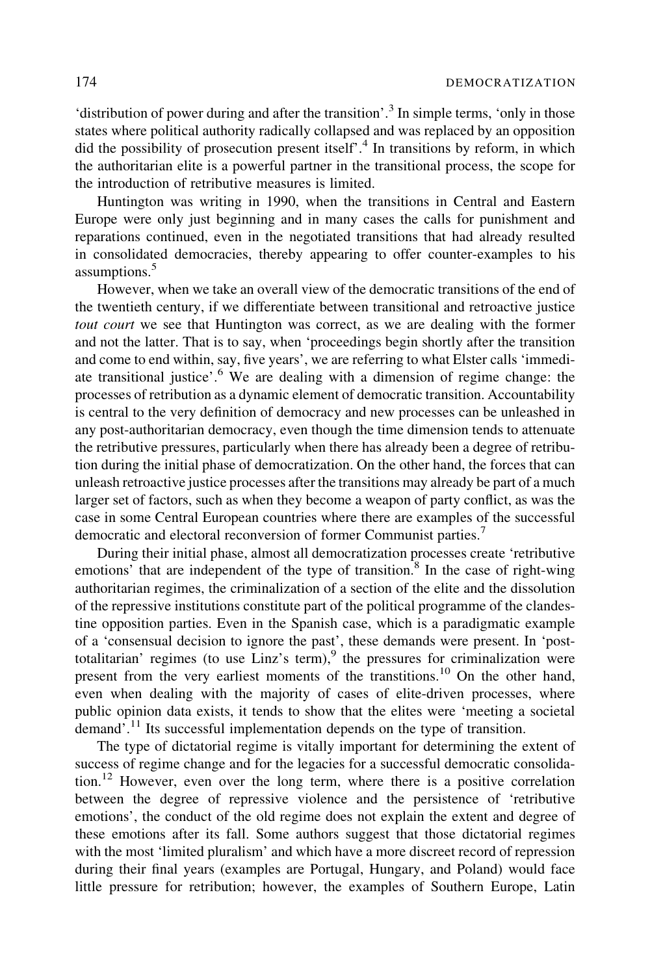'distribution of power during and after the transition'.<sup>3</sup> In simple terms, 'only in those states where political authority radically collapsed and was replaced by an opposition did the possibility of prosecution present itself'.<sup>4</sup> In transitions by reform, in which the authoritarian elite is a powerful partner in the transitional process, the scope for the introduction of retributive measures is limited.

Huntington was writing in 1990, when the transitions in Central and Eastern Europe were only just beginning and in many cases the calls for punishment and reparations continued, even in the negotiated transitions that had already resulted in consolidated democracies, thereby appearing to offer counter-examples to his assumptions.<sup>5</sup>

However, when we take an overall view of the democratic transitions of the end of the twentieth century, if we differentiate between transitional and retroactive justice tout court we see that Huntington was correct, as we are dealing with the former and not the latter. That is to say, when 'proceedings begin shortly after the transition and come to end within, say, five years', we are referring to what Elster calls 'immediate transitional justice'.<sup>6</sup> We are dealing with a dimension of regime change: the processes of retribution as a dynamic element of democratic transition. Accountability is central to the very definition of democracy and new processes can be unleashed in any post-authoritarian democracy, even though the time dimension tends to attenuate the retributive pressures, particularly when there has already been a degree of retribution during the initial phase of democratization. On the other hand, the forces that can unleash retroactive justice processes after the transitions may already be part of a much larger set of factors, such as when they become a weapon of party conflict, as was the case in some Central European countries where there are examples of the successful democratic and electoral reconversion of former Communist parties.<sup>7</sup>

During their initial phase, almost all democratization processes create 'retributive emotions' that are independent of the type of transition.<sup>8</sup> In the case of right-wing authoritarian regimes, the criminalization of a section of the elite and the dissolution of the repressive institutions constitute part of the political programme of the clandestine opposition parties. Even in the Spanish case, which is a paradigmatic example of a 'consensual decision to ignore the past', these demands were present. In 'posttotalitarian' regimes (to use  $\text{Linz's term}$ ), the pressures for criminalization were present from the very earliest moments of the transtitions.<sup>10</sup> On the other hand, even when dealing with the majority of cases of elite-driven processes, where public opinion data exists, it tends to show that the elites were 'meeting a societal demand'.<sup>11</sup> Its successful implementation depends on the type of transition.

The type of dictatorial regime is vitally important for determining the extent of success of regime change and for the legacies for a successful democratic consolidation.<sup>12</sup> However, even over the long term, where there is a positive correlation between the degree of repressive violence and the persistence of 'retributive emotions', the conduct of the old regime does not explain the extent and degree of these emotions after its fall. Some authors suggest that those dictatorial regimes with the most 'limited pluralism' and which have a more discreet record of repression during their final years (examples are Portugal, Hungary, and Poland) would face little pressure for retribution; however, the examples of Southern Europe, Latin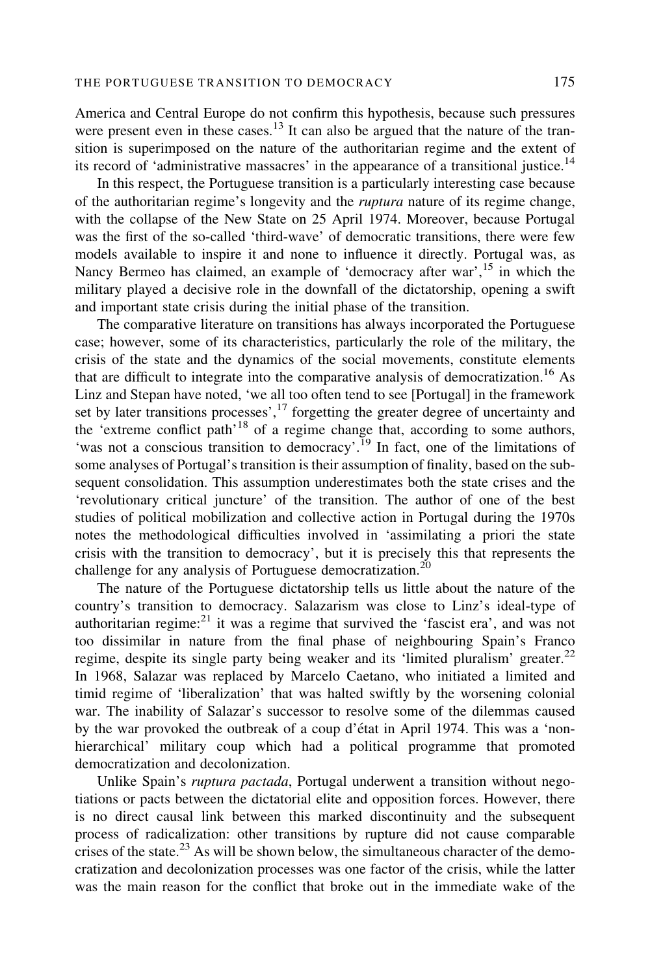America and Central Europe do not confirm this hypothesis, because such pressures were present even in these cases.<sup>13</sup> It can also be argued that the nature of the transition is superimposed on the nature of the authoritarian regime and the extent of its record of 'administrative massacres' in the appearance of a transitional justice.<sup>14</sup>

In this respect, the Portuguese transition is a particularly interesting case because of the authoritarian regime's longevity and the ruptura nature of its regime change, with the collapse of the New State on 25 April 1974. Moreover, because Portugal was the first of the so-called 'third-wave' of democratic transitions, there were few models available to inspire it and none to influence it directly. Portugal was, as Nancy Bermeo has claimed, an example of 'democracy after war', $15$  in which the military played a decisive role in the downfall of the dictatorship, opening a swift and important state crisis during the initial phase of the transition.

The comparative literature on transitions has always incorporated the Portuguese case; however, some of its characteristics, particularly the role of the military, the crisis of the state and the dynamics of the social movements, constitute elements that are difficult to integrate into the comparative analysis of democratization.<sup>16</sup> As Linz and Stepan have noted, 'we all too often tend to see [Portugal] in the framework set by later transitions processes', $^{17}$  forgetting the greater degree of uncertainty and the 'extreme conflict path'<sup>18</sup> of a regime change that, according to some authors, 'was not a conscious transition to democracy'.<sup>19</sup> In fact, one of the limitations of some analyses of Portugal's transition is their assumption of finality, based on the subsequent consolidation. This assumption underestimates both the state crises and the 'revolutionary critical juncture' of the transition. The author of one of the best studies of political mobilization and collective action in Portugal during the 1970s notes the methodological difficulties involved in 'assimilating a priori the state crisis with the transition to democracy', but it is precisely this that represents the challenge for any analysis of Portuguese democratization.<sup>20</sup>

The nature of the Portuguese dictatorship tells us little about the nature of the country's transition to democracy. Salazarism was close to Linz's ideal-type of authoritarian regime: $2<sup>1</sup>$  it was a regime that survived the 'fascist era', and was not too dissimilar in nature from the final phase of neighbouring Spain's Franco regime, despite its single party being weaker and its 'limited pluralism' greater.<sup>22</sup> In 1968, Salazar was replaced by Marcelo Caetano, who initiated a limited and timid regime of 'liberalization' that was halted swiftly by the worsening colonial war. The inability of Salazar's successor to resolve some of the dilemmas caused by the war provoked the outbreak of a coup d'état in April 1974. This was a 'nonhierarchical' military coup which had a political programme that promoted democratization and decolonization.

Unlike Spain's *ruptura pactada*, Portugal underwent a transition without negotiations or pacts between the dictatorial elite and opposition forces. However, there is no direct causal link between this marked discontinuity and the subsequent process of radicalization: other transitions by rupture did not cause comparable crises of the state. $^{23}$  As will be shown below, the simultaneous character of the democratization and decolonization processes was one factor of the crisis, while the latter was the main reason for the conflict that broke out in the immediate wake of the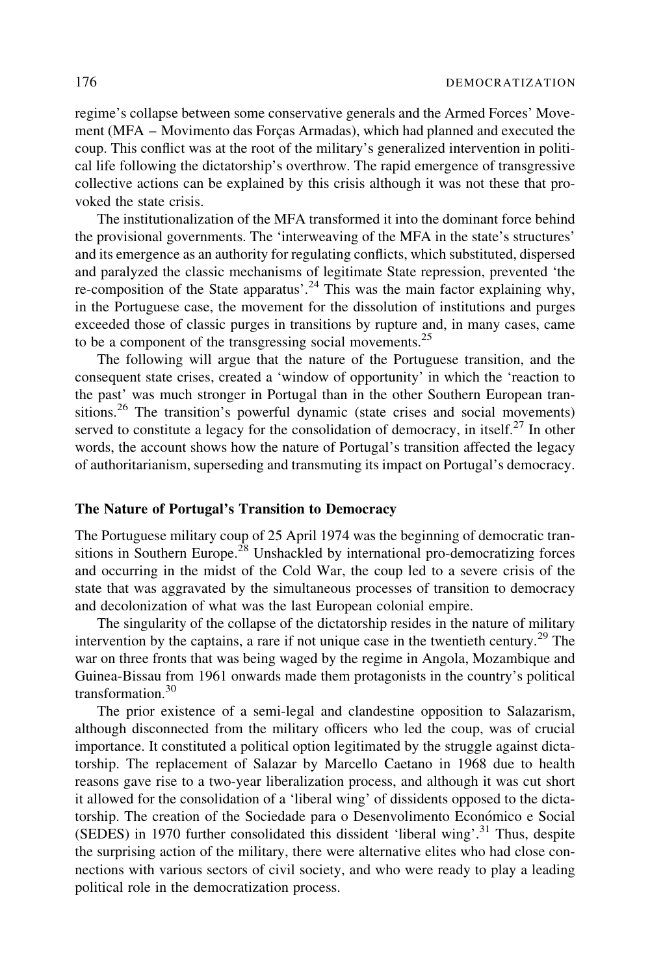regime's collapse between some conservative generals and the Armed Forces' Movement (MFA – Movimento das Forças Armadas), which had planned and executed the coup. This conflict was at the root of the military's generalized intervention in political life following the dictatorship's overthrow. The rapid emergence of transgressive collective actions can be explained by this crisis although it was not these that provoked the state crisis.

The institutionalization of the MFA transformed it into the dominant force behind the provisional governments. The 'interweaving of the MFA in the state's structures' and its emergence as an authority for regulating conflicts, which substituted, dispersed and paralyzed the classic mechanisms of legitimate State repression, prevented 'the re-composition of the State apparatus'.<sup>24</sup> This was the main factor explaining why, in the Portuguese case, the movement for the dissolution of institutions and purges exceeded those of classic purges in transitions by rupture and, in many cases, came to be a component of the transgressing social movements.<sup>25</sup>

The following will argue that the nature of the Portuguese transition, and the consequent state crises, created a 'window of opportunity' in which the 'reaction to the past' was much stronger in Portugal than in the other Southern European transitions.<sup>26</sup> The transition's powerful dynamic (state crises and social movements) served to constitute a legacy for the consolidation of democracy, in itself.<sup>27</sup> In other words, the account shows how the nature of Portugal's transition affected the legacy of authoritarianism, superseding and transmuting its impact on Portugal's democracy.

#### The Nature of Portugal's Transition to Democracy

The Portuguese military coup of 25 April 1974 was the beginning of democratic transitions in Southern Europe.<sup>28</sup> Unshackled by international pro-democratizing forces and occurring in the midst of the Cold War, the coup led to a severe crisis of the state that was aggravated by the simultaneous processes of transition to democracy and decolonization of what was the last European colonial empire.

The singularity of the collapse of the dictatorship resides in the nature of military intervention by the captains, a rare if not unique case in the twentieth century.<sup>29</sup> The war on three fronts that was being waged by the regime in Angola, Mozambique and Guinea-Bissau from 1961 onwards made them protagonists in the country's political transformation.<sup>30</sup>

The prior existence of a semi-legal and clandestine opposition to Salazarism, although disconnected from the military officers who led the coup, was of crucial importance. It constituted a political option legitimated by the struggle against dictatorship. The replacement of Salazar by Marcello Caetano in 1968 due to health reasons gave rise to a two-year liberalization process, and although it was cut short it allowed for the consolidation of a 'liberal wing' of dissidents opposed to the dictatorship. The creation of the Sociedade para o Desenvolimento Económico e Social (SEDES) in 1970 further consolidated this dissident 'liberal wing'.<sup>31</sup> Thus, despite the surprising action of the military, there were alternative elites who had close connections with various sectors of civil society, and who were ready to play a leading political role in the democratization process.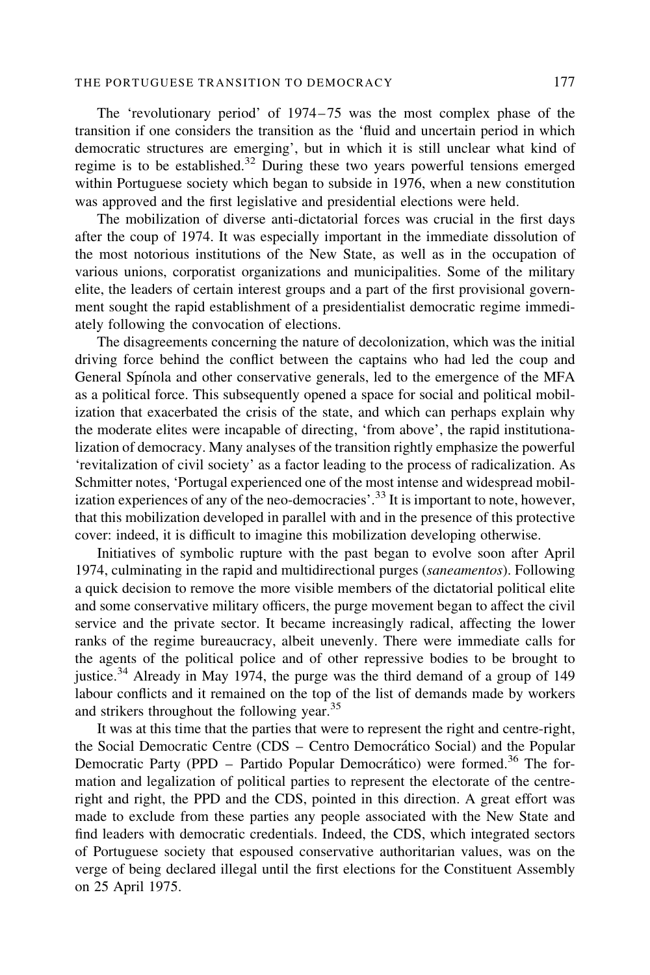The 'revolutionary period' of 1974–75 was the most complex phase of the transition if one considers the transition as the 'fluid and uncertain period in which democratic structures are emerging', but in which it is still unclear what kind of regime is to be established.<sup>32</sup> During these two years powerful tensions emerged within Portuguese society which began to subside in 1976, when a new constitution was approved and the first legislative and presidential elections were held.

The mobilization of diverse anti-dictatorial forces was crucial in the first days after the coup of 1974. It was especially important in the immediate dissolution of the most notorious institutions of the New State, as well as in the occupation of various unions, corporatist organizations and municipalities. Some of the military elite, the leaders of certain interest groups and a part of the first provisional government sought the rapid establishment of a presidentialist democratic regime immediately following the convocation of elections.

The disagreements concerning the nature of decolonization, which was the initial driving force behind the conflict between the captains who had led the coup and General Spinola and other conservative generals, led to the emergence of the MFA as a political force. This subsequently opened a space for social and political mobilization that exacerbated the crisis of the state, and which can perhaps explain why the moderate elites were incapable of directing, 'from above', the rapid institutionalization of democracy. Many analyses of the transition rightly emphasize the powerful 'revitalization of civil society' as a factor leading to the process of radicalization. As Schmitter notes, 'Portugal experienced one of the most intense and widespread mobilization experiences of any of the neo-democracies'.<sup>33</sup> It is important to note, however, that this mobilization developed in parallel with and in the presence of this protective cover: indeed, it is difficult to imagine this mobilization developing otherwise.

Initiatives of symbolic rupture with the past began to evolve soon after April 1974, culminating in the rapid and multidirectional purges (saneamentos). Following a quick decision to remove the more visible members of the dictatorial political elite and some conservative military officers, the purge movement began to affect the civil service and the private sector. It became increasingly radical, affecting the lower ranks of the regime bureaucracy, albeit unevenly. There were immediate calls for the agents of the political police and of other repressive bodies to be brought to justice.<sup>34</sup> Already in May 1974, the purge was the third demand of a group of 149 labour conflicts and it remained on the top of the list of demands made by workers and strikers throughout the following year.<sup>35</sup>

It was at this time that the parties that were to represent the right and centre-right, the Social Democratic Centre (CDS – Centro Democra´tico Social) and the Popular Democratic Party (PPD – Partido Popular Democrático) were formed.<sup>36</sup> The formation and legalization of political parties to represent the electorate of the centreright and right, the PPD and the CDS, pointed in this direction. A great effort was made to exclude from these parties any people associated with the New State and find leaders with democratic credentials. Indeed, the CDS, which integrated sectors of Portuguese society that espoused conservative authoritarian values, was on the verge of being declared illegal until the first elections for the Constituent Assembly on 25 April 1975.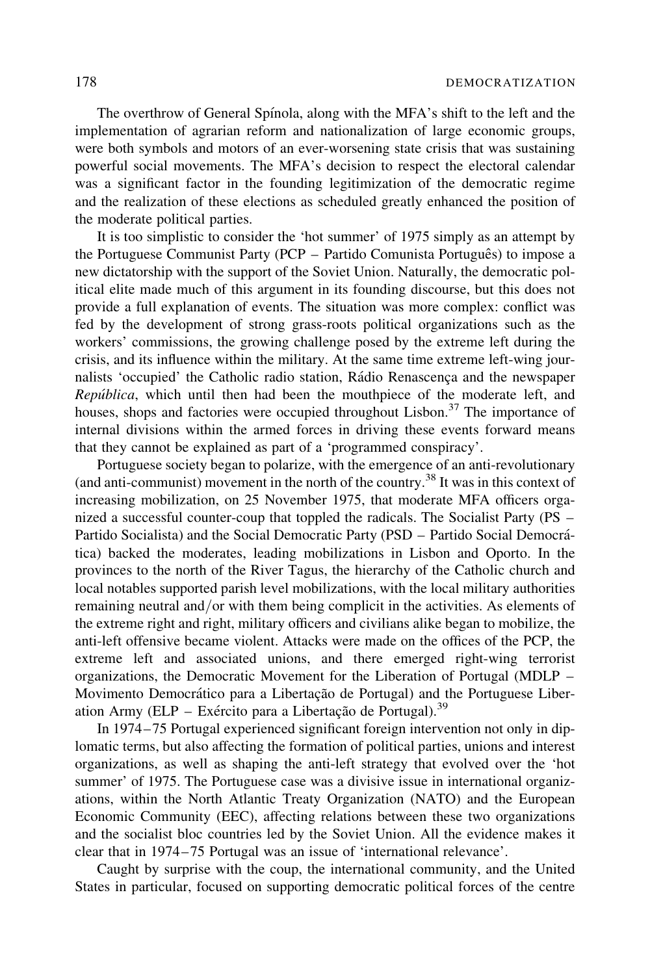The overthrow of General Spinola, along with the MFA's shift to the left and the implementation of agrarian reform and nationalization of large economic groups, were both symbols and motors of an ever-worsening state crisis that was sustaining powerful social movements. The MFA's decision to respect the electoral calendar was a significant factor in the founding legitimization of the democratic regime and the realization of these elections as scheduled greatly enhanced the position of the moderate political parties.

It is too simplistic to consider the 'hot summer' of 1975 simply as an attempt by the Portuguese Communist Party (PCP – Partido Comunista Português) to impose a new dictatorship with the support of the Soviet Union. Naturally, the democratic political elite made much of this argument in its founding discourse, but this does not provide a full explanation of events. The situation was more complex: conflict was fed by the development of strong grass-roots political organizations such as the workers' commissions, the growing challenge posed by the extreme left during the crisis, and its influence within the military. At the same time extreme left-wing journalists 'occupied' the Catholic radio station, Rádio Renascença and the newspaper Repu´blica, which until then had been the mouthpiece of the moderate left, and houses, shops and factories were occupied throughout Lisbon.<sup>37</sup> The importance of internal divisions within the armed forces in driving these events forward means that they cannot be explained as part of a 'programmed conspiracy'.

Portuguese society began to polarize, with the emergence of an anti-revolutionary (and anti-communist) movement in the north of the country.<sup>38</sup> It was in this context of increasing mobilization, on 25 November 1975, that moderate MFA officers organized a successful counter-coup that toppled the radicals. The Socialist Party (PS – Partido Socialista) and the Social Democratic Party (PSD – Partido Social Democrática) backed the moderates, leading mobilizations in Lisbon and Oporto. In the provinces to the north of the River Tagus, the hierarchy of the Catholic church and local notables supported parish level mobilizations, with the local military authorities remaining neutral and/or with them being complicit in the activities. As elements of the extreme right and right, military officers and civilians alike began to mobilize, the anti-left offensive became violent. Attacks were made on the offices of the PCP, the extreme left and associated unions, and there emerged right-wing terrorist organizations, the Democratic Movement for the Liberation of Portugal (MDLP – Movimento Democrático para a Libertação de Portugal) and the Portuguese Liberation Army (ELP – Exército para a Libertação de Portugal).<sup>39</sup>

In 1974–75 Portugal experienced significant foreign intervention not only in diplomatic terms, but also affecting the formation of political parties, unions and interest organizations, as well as shaping the anti-left strategy that evolved over the 'hot summer' of 1975. The Portuguese case was a divisive issue in international organizations, within the North Atlantic Treaty Organization (NATO) and the European Economic Community (EEC), affecting relations between these two organizations and the socialist bloc countries led by the Soviet Union. All the evidence makes it clear that in 1974–75 Portugal was an issue of 'international relevance'.

Caught by surprise with the coup, the international community, and the United States in particular, focused on supporting democratic political forces of the centre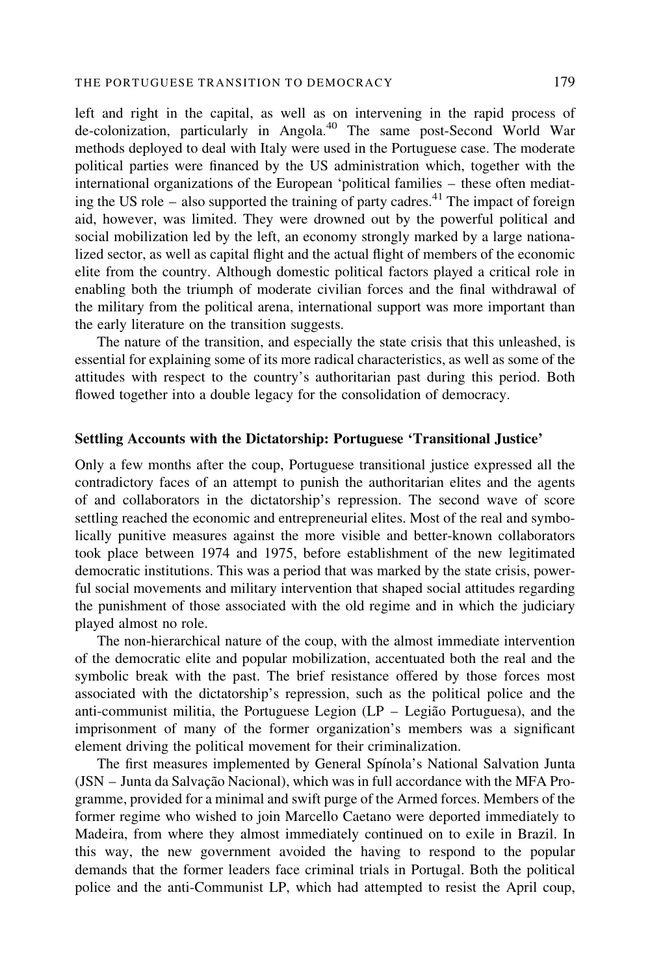left and right in the capital, as well as on intervening in the rapid process of de-colonization, particularly in Angola.<sup>40</sup> The same post-Second World War methods deployed to deal with Italy were used in the Portuguese case. The moderate political parties were financed by the US administration which, together with the international organizations of the European 'political families – these often mediating the US role – also supported the training of party cadres.<sup>41</sup> The impact of foreign aid, however, was limited. They were drowned out by the powerful political and social mobilization led by the left, an economy strongly marked by a large nationalized sector, as well as capital flight and the actual flight of members of the economic elite from the country. Although domestic political factors played a critical role in enabling both the triumph of moderate civilian forces and the final withdrawal of the military from the political arena, international support was more important than the early literature on the transition suggests.

The nature of the transition, and especially the state crisis that this unleashed, is essential for explaining some of its more radical characteristics, as well as some of the attitudes with respect to the country's authoritarian past during this period. Both flowed together into a double legacy for the consolidation of democracy.

#### Settling Accounts with the Dictatorship: Portuguese 'Transitional Justice'

Only a few months after the coup, Portuguese transitional justice expressed all the contradictory faces of an attempt to punish the authoritarian elites and the agents of and collaborators in the dictatorship's repression. The second wave of score settling reached the economic and entrepreneurial elites. Most of the real and symbolically punitive measures against the more visible and better-known collaborators took place between 1974 and 1975, before establishment of the new legitimated democratic institutions. This was a period that was marked by the state crisis, powerful social movements and military intervention that shaped social attitudes regarding the punishment of those associated with the old regime and in which the judiciary played almost no role.

The non-hierarchical nature of the coup, with the almost immediate intervention of the democratic elite and popular mobilization, accentuated both the real and the symbolic break with the past. The brief resistance offered by those forces most associated with the dictatorship's repression, such as the political police and the anti-communist militia, the Portuguese Legion  $(LP - Legi\tilde{a}o$  Portuguesa), and the imprisonment of many of the former organization's members was a significant element driving the political movement for their criminalization.

The first measures implemented by General Spı´nola's National Salvation Junta  $(JSN - Junta da Salvação Nacional)$ , which was in full accordance with the MFA Programme, provided for a minimal and swift purge of the Armed forces. Members of the former regime who wished to join Marcello Caetano were deported immediately to Madeira, from where they almost immediately continued on to exile in Brazil. In this way, the new government avoided the having to respond to the popular demands that the former leaders face criminal trials in Portugal. Both the political police and the anti-Communist LP, which had attempted to resist the April coup,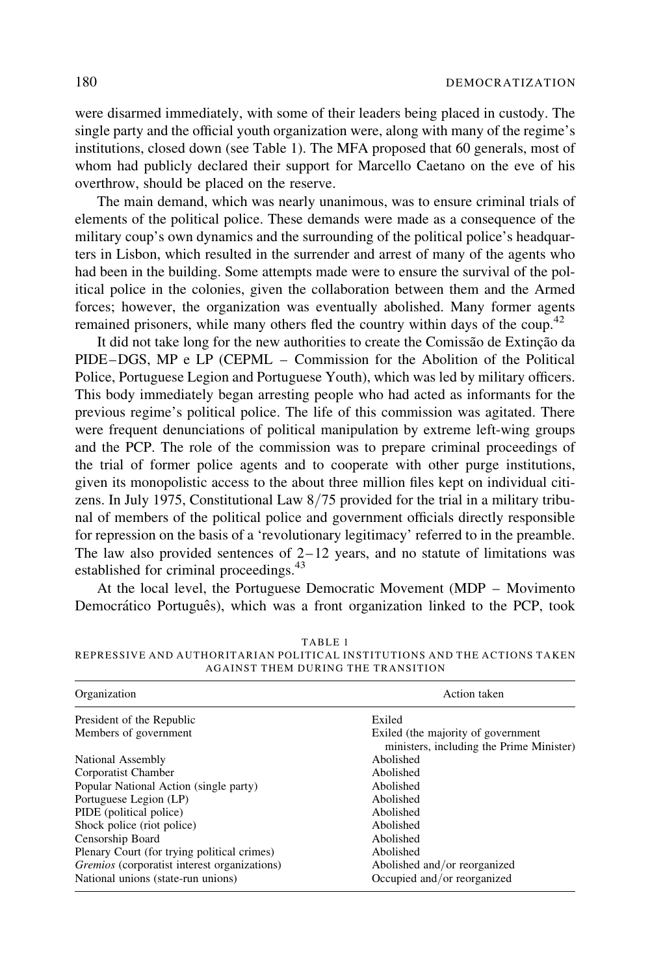were disarmed immediately, with some of their leaders being placed in custody. The single party and the official youth organization were, along with many of the regime's institutions, closed down (see Table 1). The MFA proposed that 60 generals, most of whom had publicly declared their support for Marcello Caetano on the eve of his overthrow, should be placed on the reserve.

The main demand, which was nearly unanimous, was to ensure criminal trials of elements of the political police. These demands were made as a consequence of the military coup's own dynamics and the surrounding of the political police's headquarters in Lisbon, which resulted in the surrender and arrest of many of the agents who had been in the building. Some attempts made were to ensure the survival of the political police in the colonies, given the collaboration between them and the Armed forces; however, the organization was eventually abolished. Many former agents remained prisoners, while many others fled the country within days of the coup.<sup>42</sup>

It did not take long for the new authorities to create the Comissão de Extinção da PIDE–DGS, MP e LP (CEPML – Commission for the Abolition of the Political Police, Portuguese Legion and Portuguese Youth), which was led by military officers. This body immediately began arresting people who had acted as informants for the previous regime's political police. The life of this commission was agitated. There were frequent denunciations of political manipulation by extreme left-wing groups and the PCP. The role of the commission was to prepare criminal proceedings of the trial of former police agents and to cooperate with other purge institutions, given its monopolistic access to the about three million files kept on individual citizens. In July 1975, Constitutional Law 8/75 provided for the trial in a military tribunal of members of the political police and government officials directly responsible for repression on the basis of a 'revolutionary legitimacy' referred to in the preamble. The law also provided sentences of  $2-12$  years, and no statute of limitations was established for criminal proceedings.<sup>43</sup>

At the local level, the Portuguese Democratic Movement (MDP – Movimento Democrático Português), which was a front organization linked to the PCP, took

| Organization                                 | Action taken                                                                   |  |
|----------------------------------------------|--------------------------------------------------------------------------------|--|
| President of the Republic                    | Exiled                                                                         |  |
| Members of government                        | Exiled (the majority of government<br>ministers, including the Prime Minister) |  |
| National Assembly                            | Abolished                                                                      |  |
| Corporatist Chamber                          | Abolished                                                                      |  |
| Popular National Action (single party)       | Abolished                                                                      |  |
| Portuguese Legion (LP)                       | Abolished                                                                      |  |
| PIDE (political police)                      | Abolished                                                                      |  |
| Shock police (riot police)                   | Abolished                                                                      |  |
| Censorship Board                             | Abolished                                                                      |  |
| Plenary Court (for trying political crimes)  | Abolished                                                                      |  |
| Gremios (corporatist interest organizations) | Abolished and/or reorganized                                                   |  |
| National unions (state-run unions)           | Occupied and/or reorganized                                                    |  |

TABLE 1 REPRESSIVE AND AUTHORITARIAN POLITICAL INSTITUTIONS AND THE ACTIONS TAKEN AGAINST THEM DURING THE TRANSITION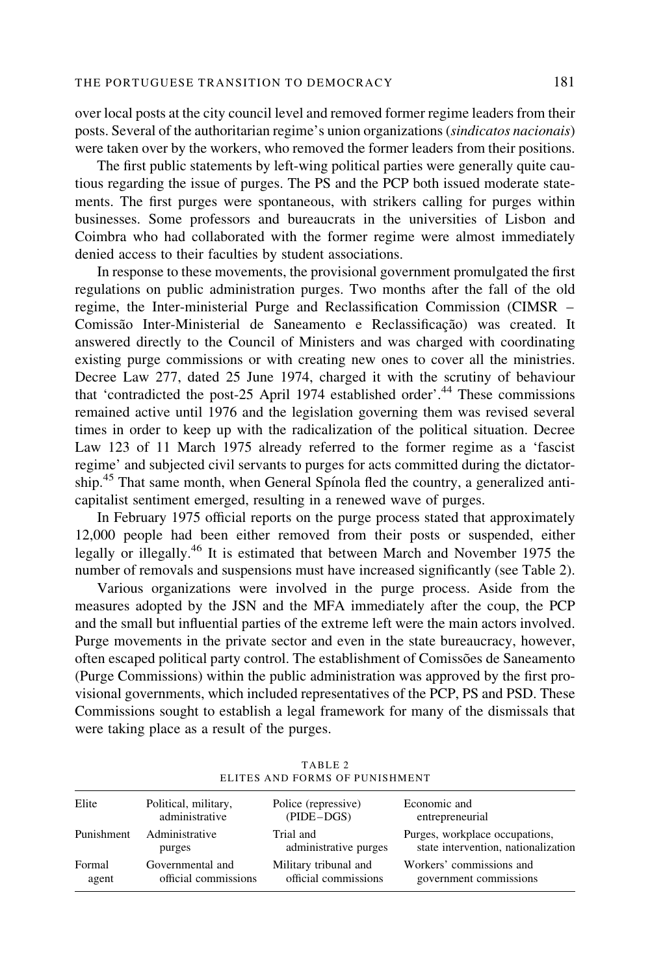over local posts at the city council level and removed former regime leaders from their posts. Several of the authoritarian regime's union organizations (sindicatos nacionais) were taken over by the workers, who removed the former leaders from their positions.

The first public statements by left-wing political parties were generally quite cautious regarding the issue of purges. The PS and the PCP both issued moderate statements. The first purges were spontaneous, with strikers calling for purges within businesses. Some professors and bureaucrats in the universities of Lisbon and Coimbra who had collaborated with the former regime were almost immediately denied access to their faculties by student associations.

In response to these movements, the provisional government promulgated the first regulations on public administration purges. Two months after the fall of the old regime, the Inter-ministerial Purge and Reclassification Commission (CIMSR – Comissão Inter-Ministerial de Saneamento e Reclassificação) was created. It answered directly to the Council of Ministers and was charged with coordinating existing purge commissions or with creating new ones to cover all the ministries. Decree Law 277, dated 25 June 1974, charged it with the scrutiny of behaviour that 'contradicted the post-25 April 1974 established order'.<sup>44</sup> These commissions remained active until 1976 and the legislation governing them was revised several times in order to keep up with the radicalization of the political situation. Decree Law 123 of 11 March 1975 already referred to the former regime as a 'fascist regime' and subjected civil servants to purges for acts committed during the dictatorship.<sup>45</sup> That same month, when General Spinola fled the country, a generalized anticapitalist sentiment emerged, resulting in a renewed wave of purges.

In February 1975 official reports on the purge process stated that approximately 12,000 people had been either removed from their posts or suspended, either legally or illegally.46 It is estimated that between March and November 1975 the number of removals and suspensions must have increased significantly (see Table 2).

Various organizations were involved in the purge process. Aside from the measures adopted by the JSN and the MFA immediately after the coup, the PCP and the small but influential parties of the extreme left were the main actors involved. Purge movements in the private sector and even in the state bureaucracy, however, often escaped political party control. The establishment of Comissões de Saneamento (Purge Commissions) within the public administration was approved by the first provisional governments, which included representatives of the PCP, PS and PSD. These Commissions sought to establish a legal framework for many of the dismissals that were taking place as a result of the purges.

| Elite      | Political, military, | Police (repressive)   | Economic and                        |
|------------|----------------------|-----------------------|-------------------------------------|
|            | administrative       | $(PIDE-DGS)$          | entrepreneurial                     |
| Punishment | Administrative       | Trial and             | Purges, workplace occupations,      |
|            | purges               | administrative purges | state intervention, nationalization |
| Formal     | Governmental and     | Military tribunal and | Workers' commissions and            |
| agent      | official commissions | official commissions  | government commissions              |

TABLE 2 ELITES AND FORMS OF PUNISHMENT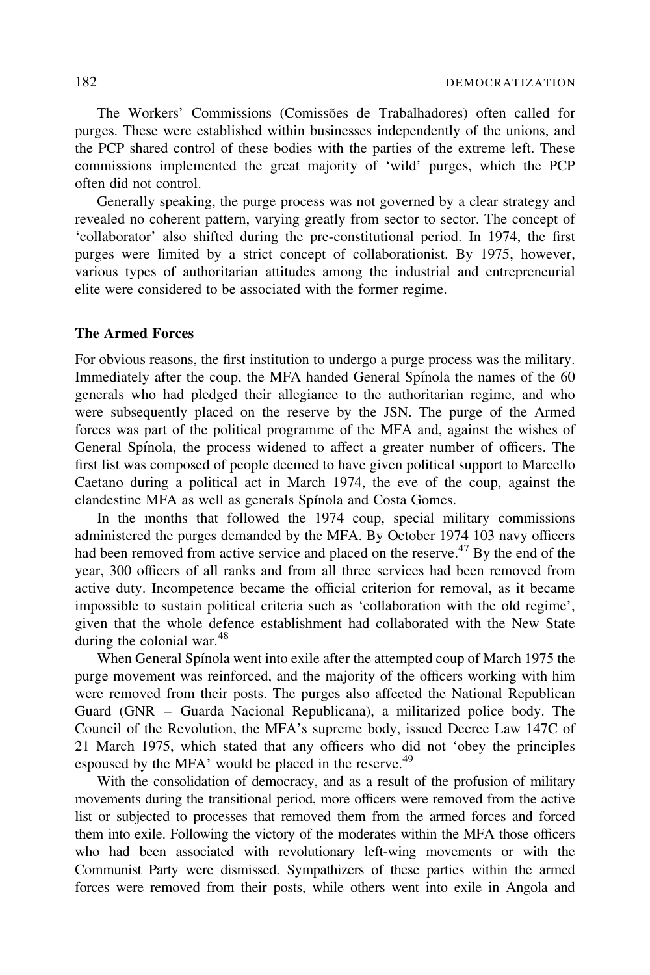The Workers' Commissions (Comissões de Trabalhadores) often called for purges. These were established within businesses independently of the unions, and the PCP shared control of these bodies with the parties of the extreme left. These commissions implemented the great majority of 'wild' purges, which the PCP often did not control.

Generally speaking, the purge process was not governed by a clear strategy and revealed no coherent pattern, varying greatly from sector to sector. The concept of 'collaborator' also shifted during the pre-constitutional period. In 1974, the first purges were limited by a strict concept of collaborationist. By 1975, however, various types of authoritarian attitudes among the industrial and entrepreneurial elite were considered to be associated with the former regime.

#### The Armed Forces

For obvious reasons, the first institution to undergo a purge process was the military. Immediately after the coup, the MFA handed General Spinola the names of the 60 generals who had pledged their allegiance to the authoritarian regime, and who were subsequently placed on the reserve by the JSN. The purge of the Armed forces was part of the political programme of the MFA and, against the wishes of General Spinola, the process widened to affect a greater number of officers. The first list was composed of people deemed to have given political support to Marcello Caetano during a political act in March 1974, the eve of the coup, against the clandestine MFA as well as generals Spinola and Costa Gomes.

In the months that followed the 1974 coup, special military commissions administered the purges demanded by the MFA. By October 1974 103 navy officers had been removed from active service and placed on the reserve.<sup>47</sup> By the end of the year, 300 officers of all ranks and from all three services had been removed from active duty. Incompetence became the official criterion for removal, as it became impossible to sustain political criteria such as 'collaboration with the old regime', given that the whole defence establishment had collaborated with the New State during the colonial war.<sup>48</sup>

When General Spinola went into exile after the attempted coup of March 1975 the purge movement was reinforced, and the majority of the officers working with him were removed from their posts. The purges also affected the National Republican Guard (GNR – Guarda Nacional Republicana), a militarized police body. The Council of the Revolution, the MFA's supreme body, issued Decree Law 147C of 21 March 1975, which stated that any officers who did not 'obey the principles espoused by the MFA' would be placed in the reserve.<sup>49</sup>

With the consolidation of democracy, and as a result of the profusion of military movements during the transitional period, more officers were removed from the active list or subjected to processes that removed them from the armed forces and forced them into exile. Following the victory of the moderates within the MFA those officers who had been associated with revolutionary left-wing movements or with the Communist Party were dismissed. Sympathizers of these parties within the armed forces were removed from their posts, while others went into exile in Angola and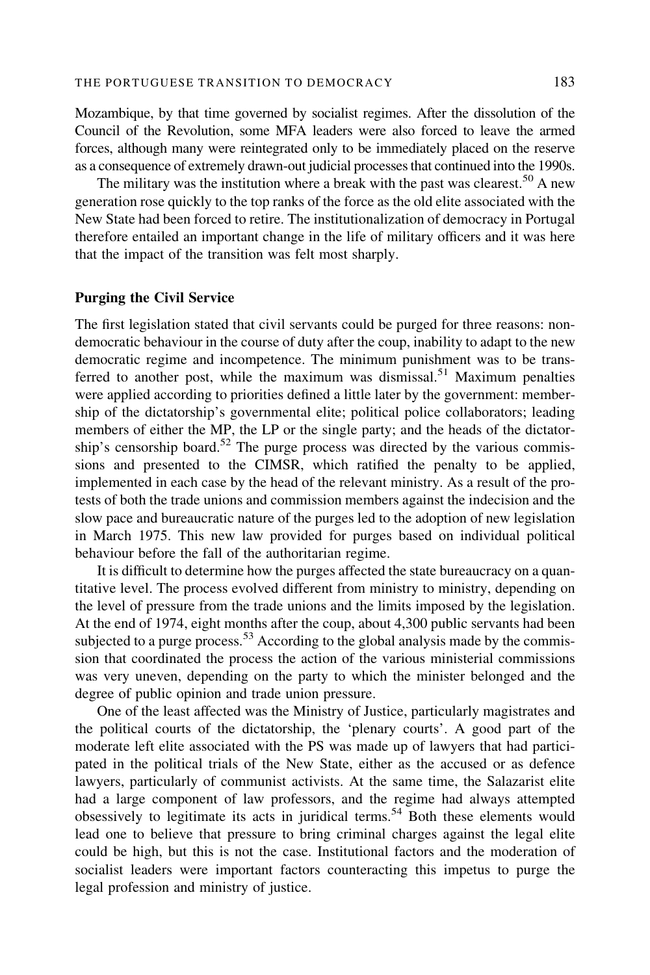Mozambique, by that time governed by socialist regimes. After the dissolution of the Council of the Revolution, some MFA leaders were also forced to leave the armed forces, although many were reintegrated only to be immediately placed on the reserve as a consequence of extremely drawn-out judicial processes that continued into the 1990s.

The military was the institution where a break with the past was clearest.<sup>50</sup> A new generation rose quickly to the top ranks of the force as the old elite associated with the New State had been forced to retire. The institutionalization of democracy in Portugal therefore entailed an important change in the life of military officers and it was here that the impact of the transition was felt most sharply.

#### Purging the Civil Service

The first legislation stated that civil servants could be purged for three reasons: nondemocratic behaviour in the course of duty after the coup, inability to adapt to the new democratic regime and incompetence. The minimum punishment was to be transferred to another post, while the maximum was dismissal.<sup>51</sup> Maximum penalties were applied according to priorities defined a little later by the government: membership of the dictatorship's governmental elite; political police collaborators; leading members of either the MP, the LP or the single party; and the heads of the dictatorship's censorship board.<sup>52</sup> The purge process was directed by the various commissions and presented to the CIMSR, which ratified the penalty to be applied, implemented in each case by the head of the relevant ministry. As a result of the protests of both the trade unions and commission members against the indecision and the slow pace and bureaucratic nature of the purges led to the adoption of new legislation in March 1975. This new law provided for purges based on individual political behaviour before the fall of the authoritarian regime.

It is difficult to determine how the purges affected the state bureaucracy on a quantitative level. The process evolved different from ministry to ministry, depending on the level of pressure from the trade unions and the limits imposed by the legislation. At the end of 1974, eight months after the coup, about 4,300 public servants had been subjected to a purge process.  $53$  According to the global analysis made by the commission that coordinated the process the action of the various ministerial commissions was very uneven, depending on the party to which the minister belonged and the degree of public opinion and trade union pressure.

One of the least affected was the Ministry of Justice, particularly magistrates and the political courts of the dictatorship, the 'plenary courts'. A good part of the moderate left elite associated with the PS was made up of lawyers that had participated in the political trials of the New State, either as the accused or as defence lawyers, particularly of communist activists. At the same time, the Salazarist elite had a large component of law professors, and the regime had always attempted obsessively to legitimate its acts in juridical terms.<sup>54</sup> Both these elements would lead one to believe that pressure to bring criminal charges against the legal elite could be high, but this is not the case. Institutional factors and the moderation of socialist leaders were important factors counteracting this impetus to purge the legal profession and ministry of justice.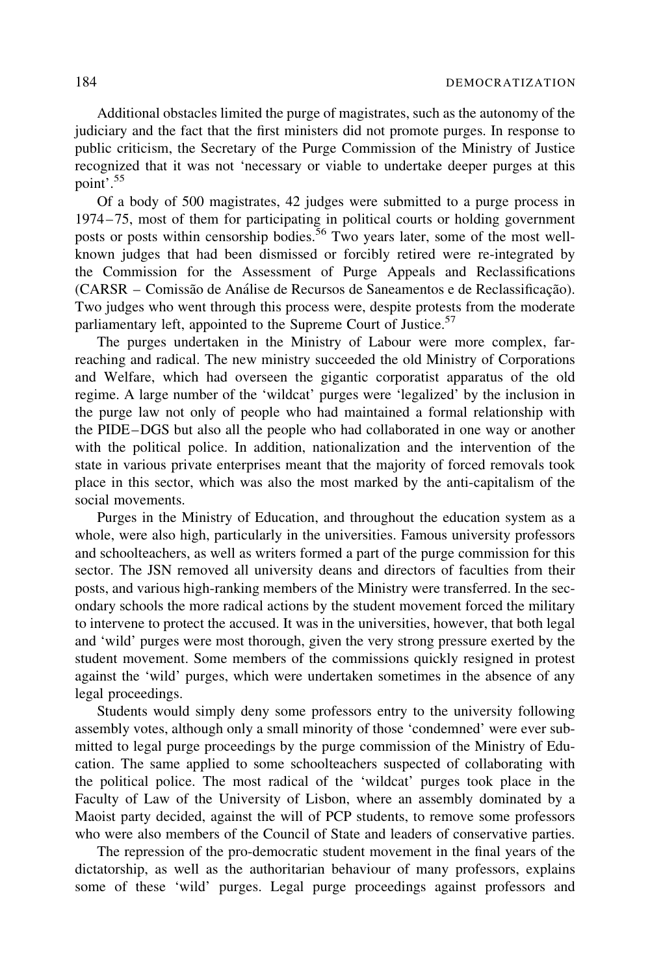Additional obstacles limited the purge of magistrates, such as the autonomy of the judiciary and the fact that the first ministers did not promote purges. In response to public criticism, the Secretary of the Purge Commission of the Ministry of Justice recognized that it was not 'necessary or viable to undertake deeper purges at this point'.<sup>55</sup>

Of a body of 500 magistrates, 42 judges were submitted to a purge process in 1974–75, most of them for participating in political courts or holding government posts or posts within censorship bodies.<sup>56</sup> Two years later, some of the most wellknown judges that had been dismissed or forcibly retired were re-integrated by the Commission for the Assessment of Purge Appeals and Reclassifications (CARSR – Comissão de Análise de Recursos de Saneamentos e de Reclassificação). Two judges who went through this process were, despite protests from the moderate parliamentary left, appointed to the Supreme Court of Justice.<sup>57</sup>

The purges undertaken in the Ministry of Labour were more complex, farreaching and radical. The new ministry succeeded the old Ministry of Corporations and Welfare, which had overseen the gigantic corporatist apparatus of the old regime. A large number of the 'wildcat' purges were 'legalized' by the inclusion in the purge law not only of people who had maintained a formal relationship with the PIDE–DGS but also all the people who had collaborated in one way or another with the political police. In addition, nationalization and the intervention of the state in various private enterprises meant that the majority of forced removals took place in this sector, which was also the most marked by the anti-capitalism of the social movements.

Purges in the Ministry of Education, and throughout the education system as a whole, were also high, particularly in the universities. Famous university professors and schoolteachers, as well as writers formed a part of the purge commission for this sector. The JSN removed all university deans and directors of faculties from their posts, and various high-ranking members of the Ministry were transferred. In the secondary schools the more radical actions by the student movement forced the military to intervene to protect the accused. It was in the universities, however, that both legal and 'wild' purges were most thorough, given the very strong pressure exerted by the student movement. Some members of the commissions quickly resigned in protest against the 'wild' purges, which were undertaken sometimes in the absence of any legal proceedings.

Students would simply deny some professors entry to the university following assembly votes, although only a small minority of those 'condemned' were ever submitted to legal purge proceedings by the purge commission of the Ministry of Education. The same applied to some schoolteachers suspected of collaborating with the political police. The most radical of the 'wildcat' purges took place in the Faculty of Law of the University of Lisbon, where an assembly dominated by a Maoist party decided, against the will of PCP students, to remove some professors who were also members of the Council of State and leaders of conservative parties.

The repression of the pro-democratic student movement in the final years of the dictatorship, as well as the authoritarian behaviour of many professors, explains some of these 'wild' purges. Legal purge proceedings against professors and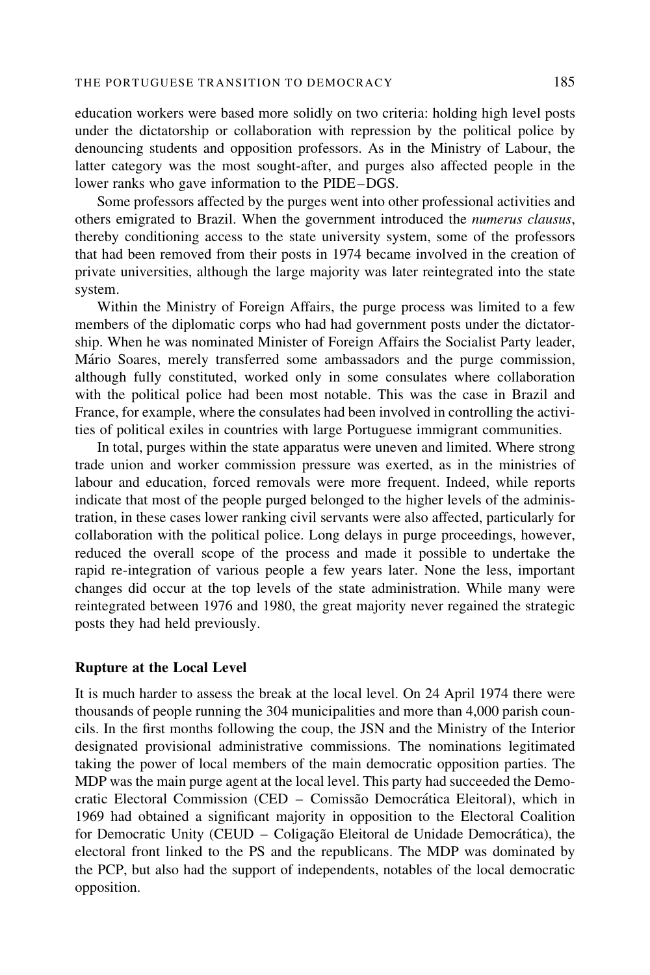education workers were based more solidly on two criteria: holding high level posts under the dictatorship or collaboration with repression by the political police by denouncing students and opposition professors. As in the Ministry of Labour, the latter category was the most sought-after, and purges also affected people in the lower ranks who gave information to the PIDE–DGS.

Some professors affected by the purges went into other professional activities and others emigrated to Brazil. When the government introduced the numerus clausus, thereby conditioning access to the state university system, some of the professors that had been removed from their posts in 1974 became involved in the creation of private universities, although the large majority was later reintegrated into the state system.

Within the Ministry of Foreign Affairs, the purge process was limited to a few members of the diplomatic corps who had had government posts under the dictatorship. When he was nominated Minister of Foreign Affairs the Socialist Party leader, Ma´rio Soares, merely transferred some ambassadors and the purge commission, although fully constituted, worked only in some consulates where collaboration with the political police had been most notable. This was the case in Brazil and France, for example, where the consulates had been involved in controlling the activities of political exiles in countries with large Portuguese immigrant communities.

In total, purges within the state apparatus were uneven and limited. Where strong trade union and worker commission pressure was exerted, as in the ministries of labour and education, forced removals were more frequent. Indeed, while reports indicate that most of the people purged belonged to the higher levels of the administration, in these cases lower ranking civil servants were also affected, particularly for collaboration with the political police. Long delays in purge proceedings, however, reduced the overall scope of the process and made it possible to undertake the rapid re-integration of various people a few years later. None the less, important changes did occur at the top levels of the state administration. While many were reintegrated between 1976 and 1980, the great majority never regained the strategic posts they had held previously.

#### Rupture at the Local Level

It is much harder to assess the break at the local level. On 24 April 1974 there were thousands of people running the 304 municipalities and more than 4,000 parish councils. In the first months following the coup, the JSN and the Ministry of the Interior designated provisional administrative commissions. The nominations legitimated taking the power of local members of the main democratic opposition parties. The MDP was the main purge agent at the local level. This party had succeeded the Democratic Electoral Commission (CED – Comissão Democrática Eleitoral), which in 1969 had obtained a significant majority in opposition to the Electoral Coalition for Democratic Unity (CEUD – Coligação Eleitoral de Unidade Democrática), the electoral front linked to the PS and the republicans. The MDP was dominated by the PCP, but also had the support of independents, notables of the local democratic opposition.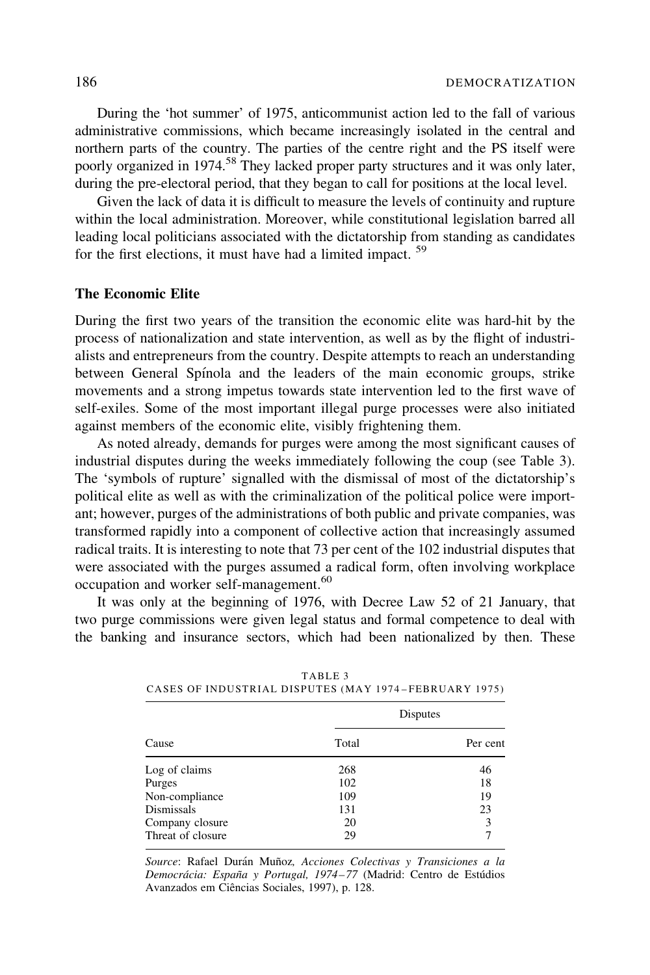During the 'hot summer' of 1975, anticommunist action led to the fall of various administrative commissions, which became increasingly isolated in the central and northern parts of the country. The parties of the centre right and the PS itself were poorly organized in 1974.<sup>58</sup> They lacked proper party structures and it was only later, during the pre-electoral period, that they began to call for positions at the local level.

Given the lack of data it is difficult to measure the levels of continuity and rupture within the local administration. Moreover, while constitutional legislation barred all leading local politicians associated with the dictatorship from standing as candidates for the first elections, it must have had a limited impact. <sup>59</sup>

#### The Economic Elite

During the first two years of the transition the economic elite was hard-hit by the process of nationalization and state intervention, as well as by the flight of industrialists and entrepreneurs from the country. Despite attempts to reach an understanding between General Spinola and the leaders of the main economic groups, strike movements and a strong impetus towards state intervention led to the first wave of self-exiles. Some of the most important illegal purge processes were also initiated against members of the economic elite, visibly frightening them.

As noted already, demands for purges were among the most significant causes of industrial disputes during the weeks immediately following the coup (see Table 3). The 'symbols of rupture' signalled with the dismissal of most of the dictatorship's political elite as well as with the criminalization of the political police were important; however, purges of the administrations of both public and private companies, was transformed rapidly into a component of collective action that increasingly assumed radical traits. It is interesting to note that 73 per cent of the 102 industrial disputes that were associated with the purges assumed a radical form, often involving workplace occupation and worker self-management.<sup>60</sup>

It was only at the beginning of 1976, with Decree Law 52 of 21 January, that two purge commissions were given legal status and formal competence to deal with the banking and insurance sectors, which had been nationalized by then. These

| Cause             |       | Disputes |
|-------------------|-------|----------|
|                   | Total | Per cent |
| Log of claims     | 268   | 46       |
| Purges            | 102   | 18       |
| Non-compliance    | 109   | 19       |
| Dismissals        | 131   | 23       |
| Company closure   | 20    | 3        |
| Threat of closure | 29    |          |

TABLE 3 CASES OF INDUSTRIAL DISPUTES (MAY 1974–FEBRUARY 1975)

Source: Rafael Durán Muñoz, Acciones Colectivas y Transiciones a la Democrácia: España y Portugal, 1974-77 (Madrid: Centro de Estúdios Avanzados em Ciências Sociales, 1997), p. 128.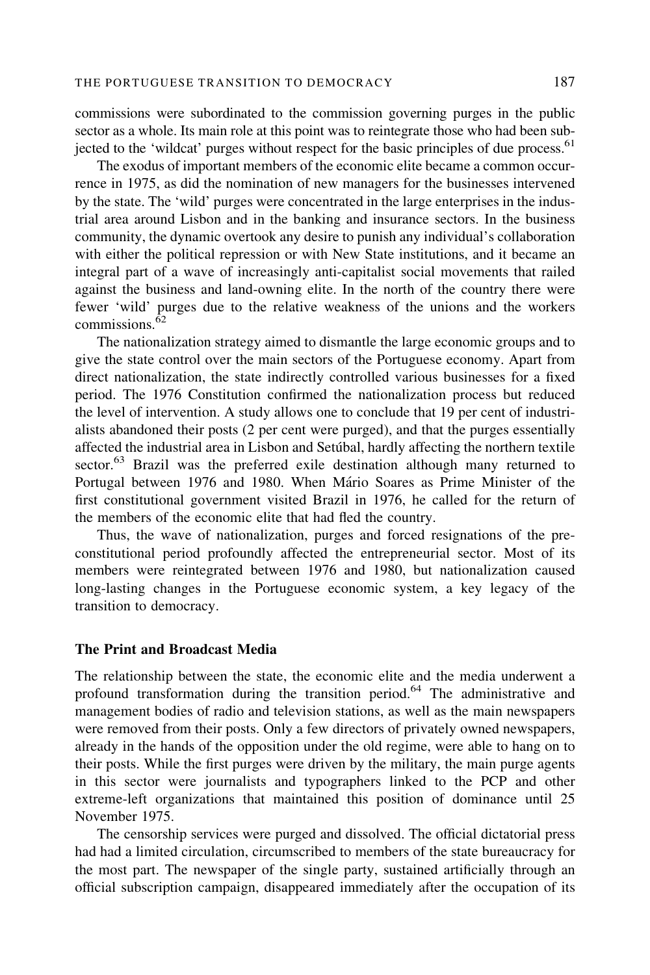commissions were subordinated to the commission governing purges in the public sector as a whole. Its main role at this point was to reintegrate those who had been subjected to the 'wildcat' purges without respect for the basic principles of due process.<sup>61</sup>

The exodus of important members of the economic elite became a common occurrence in 1975, as did the nomination of new managers for the businesses intervened by the state. The 'wild' purges were concentrated in the large enterprises in the industrial area around Lisbon and in the banking and insurance sectors. In the business community, the dynamic overtook any desire to punish any individual's collaboration with either the political repression or with New State institutions, and it became an integral part of a wave of increasingly anti-capitalist social movements that railed against the business and land-owning elite. In the north of the country there were fewer 'wild' purges due to the relative weakness of the unions and the workers commissions.<sup>62</sup>

The nationalization strategy aimed to dismantle the large economic groups and to give the state control over the main sectors of the Portuguese economy. Apart from direct nationalization, the state indirectly controlled various businesses for a fixed period. The 1976 Constitution confirmed the nationalization process but reduced the level of intervention. A study allows one to conclude that 19 per cent of industrialists abandoned their posts (2 per cent were purged), and that the purges essentially affected the industrial area in Lisbon and Setu´bal, hardly affecting the northern textile sector.<sup>63</sup> Brazil was the preferred exile destination although many returned to Portugal between 1976 and 1980. When Mário Soares as Prime Minister of the first constitutional government visited Brazil in 1976, he called for the return of the members of the economic elite that had fled the country.

Thus, the wave of nationalization, purges and forced resignations of the preconstitutional period profoundly affected the entrepreneurial sector. Most of its members were reintegrated between 1976 and 1980, but nationalization caused long-lasting changes in the Portuguese economic system, a key legacy of the transition to democracy.

#### The Print and Broadcast Media

The relationship between the state, the economic elite and the media underwent a profound transformation during the transition period.<sup>64</sup> The administrative and management bodies of radio and television stations, as well as the main newspapers were removed from their posts. Only a few directors of privately owned newspapers, already in the hands of the opposition under the old regime, were able to hang on to their posts. While the first purges were driven by the military, the main purge agents in this sector were journalists and typographers linked to the PCP and other extreme-left organizations that maintained this position of dominance until 25 November 1975.

The censorship services were purged and dissolved. The official dictatorial press had had a limited circulation, circumscribed to members of the state bureaucracy for the most part. The newspaper of the single party, sustained artificially through an official subscription campaign, disappeared immediately after the occupation of its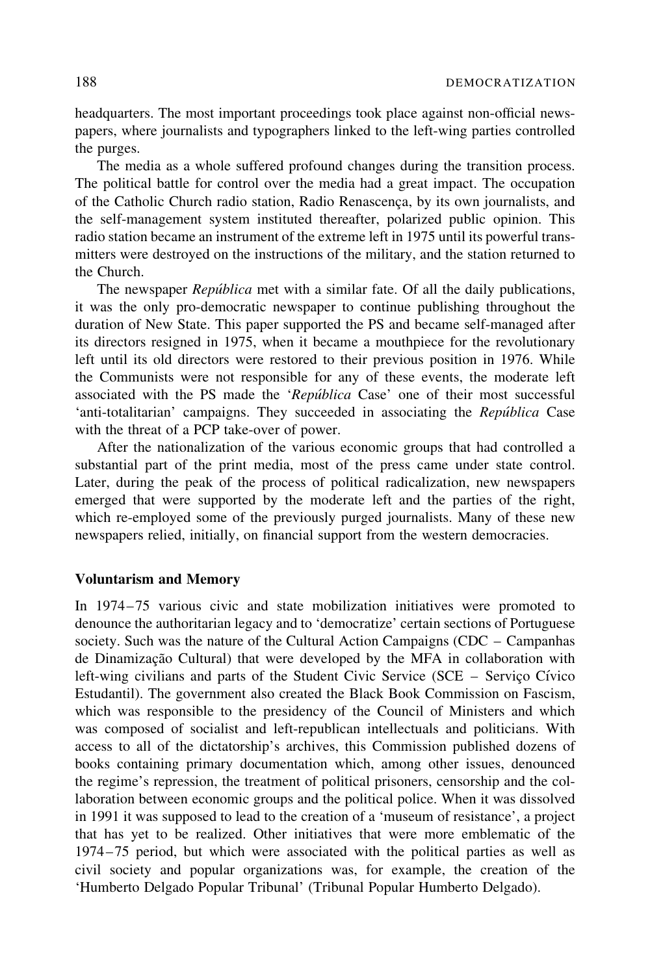headquarters. The most important proceedings took place against non-official newspapers, where journalists and typographers linked to the left-wing parties controlled the purges.

The media as a whole suffered profound changes during the transition process. The political battle for control over the media had a great impact. The occupation of the Catholic Church radio station, Radio Renascença, by its own journalists, and the self-management system instituted thereafter, polarized public opinion. This radio station became an instrument of the extreme left in 1975 until its powerful transmitters were destroyed on the instructions of the military, and the station returned to the Church.

The newspaper *República* met with a similar fate. Of all the daily publications, it was the only pro-democratic newspaper to continue publishing throughout the duration of New State. This paper supported the PS and became self-managed after its directors resigned in 1975, when it became a mouthpiece for the revolutionary left until its old directors were restored to their previous position in 1976. While the Communists were not responsible for any of these events, the moderate left associated with the PS made the 'Republica Case' one of their most successful 'anti-totalitarian' campaigns. They succeeded in associating the República Case with the threat of a PCP take-over of power.

After the nationalization of the various economic groups that had controlled a substantial part of the print media, most of the press came under state control. Later, during the peak of the process of political radicalization, new newspapers emerged that were supported by the moderate left and the parties of the right, which re-employed some of the previously purged journalists. Many of these new newspapers relied, initially, on financial support from the western democracies.

## Voluntarism and Memory

In 1974–75 various civic and state mobilization initiatives were promoted to denounce the authoritarian legacy and to 'democratize' certain sections of Portuguese society. Such was the nature of the Cultural Action Campaigns (CDC – Campanhas de Dinamização Cultural) that were developed by the MFA in collaboration with left-wing civilians and parts of the Student Civic Service (SCE – Serviço Cívico Estudantil). The government also created the Black Book Commission on Fascism, which was responsible to the presidency of the Council of Ministers and which was composed of socialist and left-republican intellectuals and politicians. With access to all of the dictatorship's archives, this Commission published dozens of books containing primary documentation which, among other issues, denounced the regime's repression, the treatment of political prisoners, censorship and the collaboration between economic groups and the political police. When it was dissolved in 1991 it was supposed to lead to the creation of a 'museum of resistance', a project that has yet to be realized. Other initiatives that were more emblematic of the 1974–75 period, but which were associated with the political parties as well as civil society and popular organizations was, for example, the creation of the 'Humberto Delgado Popular Tribunal' (Tribunal Popular Humberto Delgado).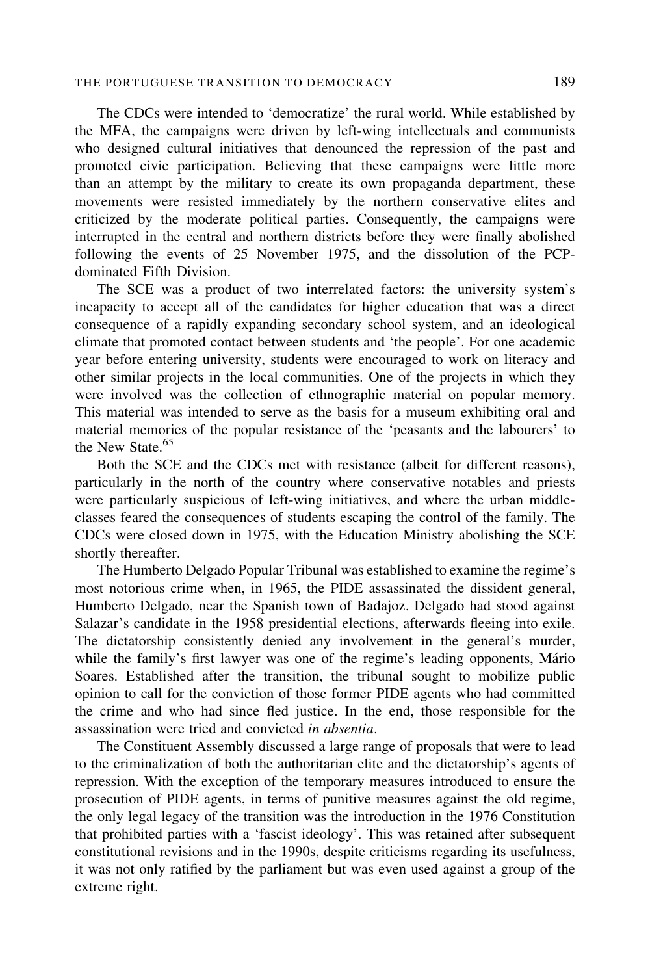The CDCs were intended to 'democratize' the rural world. While established by the MFA, the campaigns were driven by left-wing intellectuals and communists who designed cultural initiatives that denounced the repression of the past and promoted civic participation. Believing that these campaigns were little more than an attempt by the military to create its own propaganda department, these movements were resisted immediately by the northern conservative elites and criticized by the moderate political parties. Consequently, the campaigns were interrupted in the central and northern districts before they were finally abolished following the events of 25 November 1975, and the dissolution of the PCPdominated Fifth Division.

The SCE was a product of two interrelated factors: the university system's incapacity to accept all of the candidates for higher education that was a direct consequence of a rapidly expanding secondary school system, and an ideological climate that promoted contact between students and 'the people'. For one academic year before entering university, students were encouraged to work on literacy and other similar projects in the local communities. One of the projects in which they were involved was the collection of ethnographic material on popular memory. This material was intended to serve as the basis for a museum exhibiting oral and material memories of the popular resistance of the 'peasants and the labourers' to the New State.<sup>65</sup>

Both the SCE and the CDCs met with resistance (albeit for different reasons), particularly in the north of the country where conservative notables and priests were particularly suspicious of left-wing initiatives, and where the urban middleclasses feared the consequences of students escaping the control of the family. The CDCs were closed down in 1975, with the Education Ministry abolishing the SCE shortly thereafter.

The Humberto Delgado Popular Tribunal was established to examine the regime's most notorious crime when, in 1965, the PIDE assassinated the dissident general, Humberto Delgado, near the Spanish town of Badajoz. Delgado had stood against Salazar's candidate in the 1958 presidential elections, afterwards fleeing into exile. The dictatorship consistently denied any involvement in the general's murder, while the family's first lawyer was one of the regime's leading opponents, Mário Soares. Established after the transition, the tribunal sought to mobilize public opinion to call for the conviction of those former PIDE agents who had committed the crime and who had since fled justice. In the end, those responsible for the assassination were tried and convicted in absentia.

The Constituent Assembly discussed a large range of proposals that were to lead to the criminalization of both the authoritarian elite and the dictatorship's agents of repression. With the exception of the temporary measures introduced to ensure the prosecution of PIDE agents, in terms of punitive measures against the old regime, the only legal legacy of the transition was the introduction in the 1976 Constitution that prohibited parties with a 'fascist ideology'. This was retained after subsequent constitutional revisions and in the 1990s, despite criticisms regarding its usefulness, it was not only ratified by the parliament but was even used against a group of the extreme right.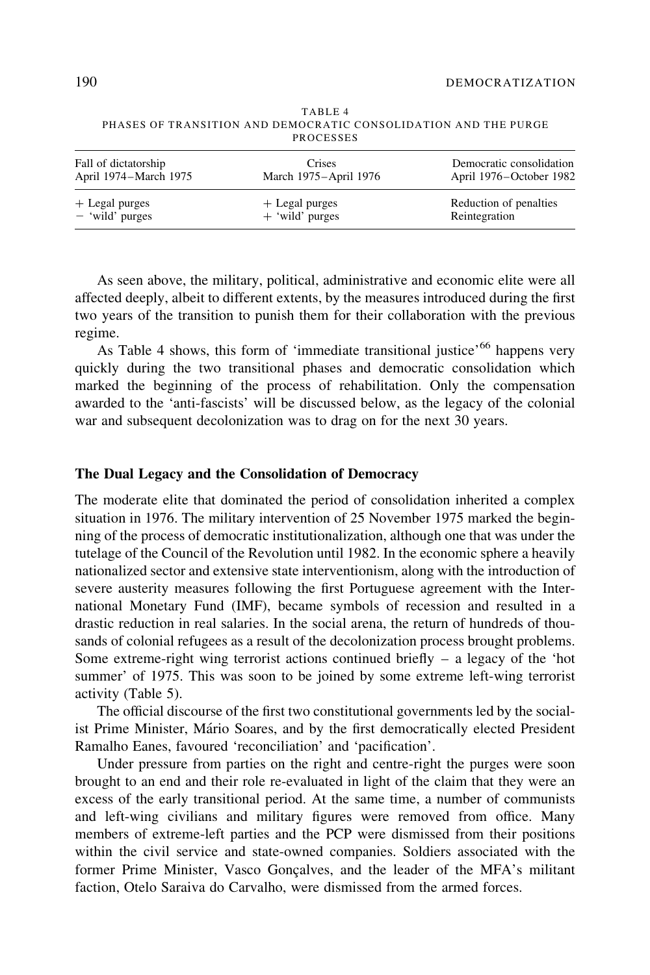| Fall of dictatorship  | Crises                | Democratic consolidation |
|-----------------------|-----------------------|--------------------------|
| April 1974–March 1975 | March 1975–April 1976 | April 1976–October 1982  |
| $+$ Legal purges      | $+$ Legal purges      | Reduction of penalties   |
| $-$ 'wild' purges     | + 'wild' purges       | Reintegration            |

TABLE 4 PHASES OF TRANSITION AND DEMOCRATIC CONSOLIDATION AND THE PURGE **PROCESSES** 

As seen above, the military, political, administrative and economic elite were all affected deeply, albeit to different extents, by the measures introduced during the first two years of the transition to punish them for their collaboration with the previous regime.

As Table 4 shows, this form of 'immediate transitional justice'<sup>66</sup> happens very quickly during the two transitional phases and democratic consolidation which marked the beginning of the process of rehabilitation. Only the compensation awarded to the 'anti-fascists' will be discussed below, as the legacy of the colonial war and subsequent decolonization was to drag on for the next 30 years.

## The Dual Legacy and the Consolidation of Democracy

The moderate elite that dominated the period of consolidation inherited a complex situation in 1976. The military intervention of 25 November 1975 marked the beginning of the process of democratic institutionalization, although one that was under the tutelage of the Council of the Revolution until 1982. In the economic sphere a heavily nationalized sector and extensive state interventionism, along with the introduction of severe austerity measures following the first Portuguese agreement with the International Monetary Fund (IMF), became symbols of recession and resulted in a drastic reduction in real salaries. In the social arena, the return of hundreds of thousands of colonial refugees as a result of the decolonization process brought problems. Some extreme-right wing terrorist actions continued briefly  $-$  a legacy of the 'hot summer' of 1975. This was soon to be joined by some extreme left-wing terrorist activity (Table 5).

The official discourse of the first two constitutional governments led by the socialist Prime Minister, Mário Soares, and by the first democratically elected President Ramalho Eanes, favoured 'reconciliation' and 'pacification'.

Under pressure from parties on the right and centre-right the purges were soon brought to an end and their role re-evaluated in light of the claim that they were an excess of the early transitional period. At the same time, a number of communists and left-wing civilians and military figures were removed from office. Many members of extreme-left parties and the PCP were dismissed from their positions within the civil service and state-owned companies. Soldiers associated with the former Prime Minister, Vasco Gonçalves, and the leader of the MFA's militant faction, Otelo Saraiva do Carvalho, were dismissed from the armed forces.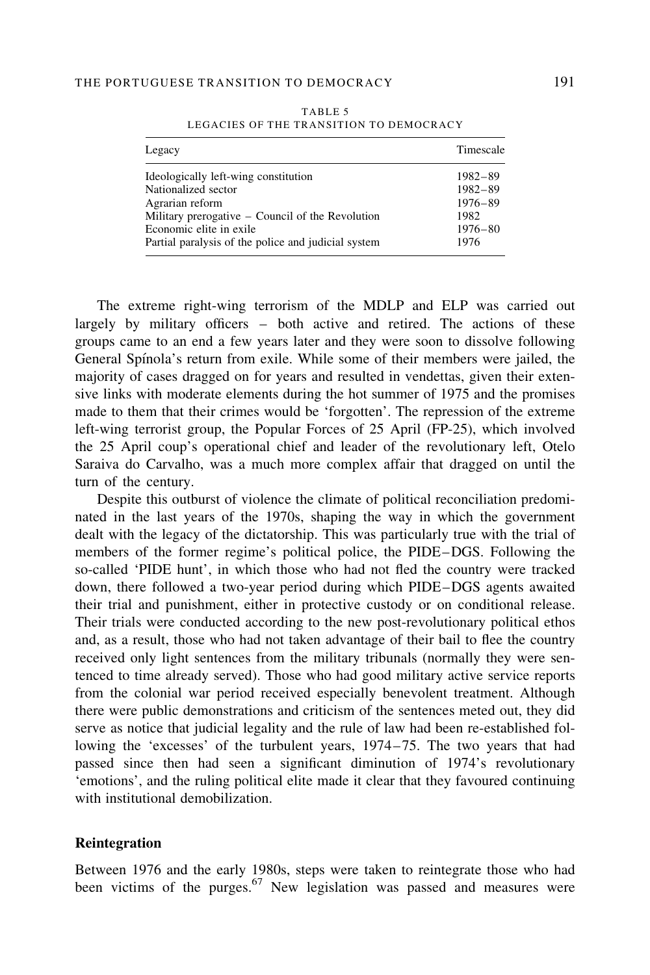| Legacy                                              | Timescale   |
|-----------------------------------------------------|-------------|
| Ideologically left-wing constitution                | $1982 - 89$ |
| Nationalized sector                                 | $1982 - 89$ |
| Agrarian reform                                     | $1976 - 89$ |
| Military prerogative – Council of the Revolution    | 1982        |
| Economic elite in exile                             | $1976 - 80$ |
| Partial paralysis of the police and judicial system | 1976        |

TABLE 5 LEGACIES OF THE TRANSITION TO DEMOCRACY

The extreme right-wing terrorism of the MDLP and ELP was carried out largely by military officers – both active and retired. The actions of these groups came to an end a few years later and they were soon to dissolve following General Spinola's return from exile. While some of their members were jailed, the majority of cases dragged on for years and resulted in vendettas, given their extensive links with moderate elements during the hot summer of 1975 and the promises made to them that their crimes would be 'forgotten'. The repression of the extreme left-wing terrorist group, the Popular Forces of 25 April (FP-25), which involved the 25 April coup's operational chief and leader of the revolutionary left, Otelo Saraiva do Carvalho, was a much more complex affair that dragged on until the turn of the century.

Despite this outburst of violence the climate of political reconciliation predominated in the last years of the 1970s, shaping the way in which the government dealt with the legacy of the dictatorship. This was particularly true with the trial of members of the former regime's political police, the PIDE–DGS. Following the so-called 'PIDE hunt', in which those who had not fled the country were tracked down, there followed a two-year period during which PIDE–DGS agents awaited their trial and punishment, either in protective custody or on conditional release. Their trials were conducted according to the new post-revolutionary political ethos and, as a result, those who had not taken advantage of their bail to flee the country received only light sentences from the military tribunals (normally they were sentenced to time already served). Those who had good military active service reports from the colonial war period received especially benevolent treatment. Although there were public demonstrations and criticism of the sentences meted out, they did serve as notice that judicial legality and the rule of law had been re-established following the 'excesses' of the turbulent years, 1974–75. The two years that had passed since then had seen a significant diminution of 1974's revolutionary 'emotions', and the ruling political elite made it clear that they favoured continuing with institutional demobilization.

#### Reintegration

Between 1976 and the early 1980s, steps were taken to reintegrate those who had been victims of the purges.<sup>67</sup> New legislation was passed and measures were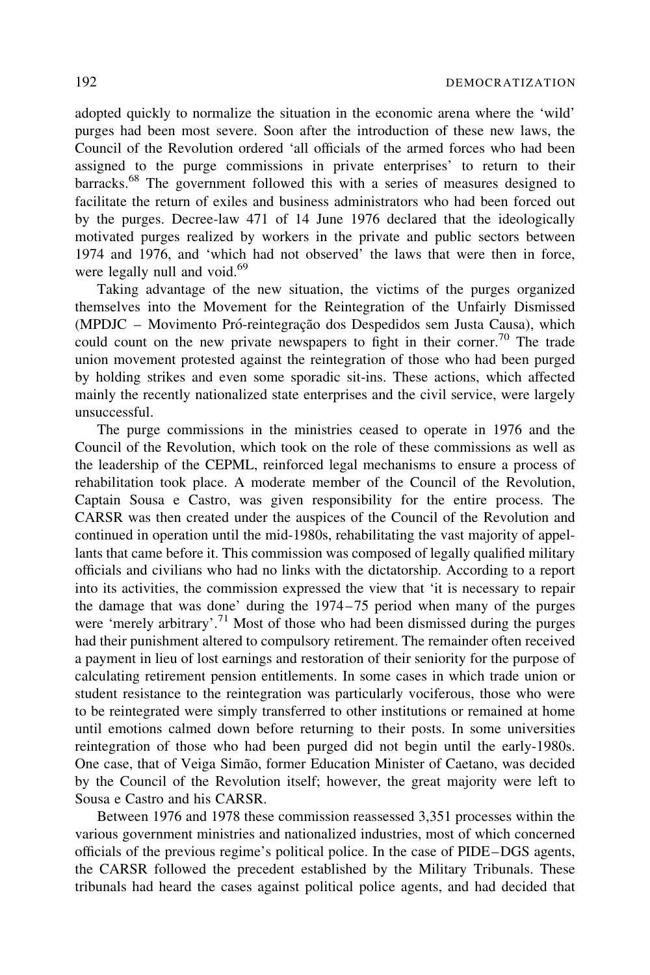adopted quickly to normalize the situation in the economic arena where the 'wild' purges had been most severe. Soon after the introduction of these new laws, the Council of the Revolution ordered 'all officials of the armed forces who had been assigned to the purge commissions in private enterprises' to return to their barracks.<sup>68</sup> The government followed this with a series of measures designed to facilitate the return of exiles and business administrators who had been forced out by the purges. Decree-law 471 of 14 June 1976 declared that the ideologically motivated purges realized by workers in the private and public sectors between 1974 and 1976, and 'which had not observed' the laws that were then in force, were legally null and void. $69$ 

Taking advantage of the new situation, the victims of the purges organized themselves into the Movement for the Reintegration of the Unfairly Dismissed (MPDJC – Movimento Pró-reintegração dos Despedidos sem Justa Causa), which could count on the new private newspapers to fight in their corner.<sup>70</sup> The trade union movement protested against the reintegration of those who had been purged by holding strikes and even some sporadic sit-ins. These actions, which affected mainly the recently nationalized state enterprises and the civil service, were largely unsuccessful.

The purge commissions in the ministries ceased to operate in 1976 and the Council of the Revolution, which took on the role of these commissions as well as the leadership of the CEPML, reinforced legal mechanisms to ensure a process of rehabilitation took place. A moderate member of the Council of the Revolution, Captain Sousa e Castro, was given responsibility for the entire process. The CARSR was then created under the auspices of the Council of the Revolution and continued in operation until the mid-1980s, rehabilitating the vast majority of appellants that came before it. This commission was composed of legally qualified military officials and civilians who had no links with the dictatorship. According to a report into its activities, the commission expressed the view that 'it is necessary to repair the damage that was done' during the 1974–75 period when many of the purges were 'merely arbitrary'.<sup>71</sup> Most of those who had been dismissed during the purges had their punishment altered to compulsory retirement. The remainder often received a payment in lieu of lost earnings and restoration of their seniority for the purpose of calculating retirement pension entitlements. In some cases in which trade union or student resistance to the reintegration was particularly vociferous, those who were to be reintegrated were simply transferred to other institutions or remained at home until emotions calmed down before returning to their posts. In some universities reintegration of those who had been purged did not begin until the early-1980s. One case, that of Veiga Simão, former Education Minister of Caetano, was decided by the Council of the Revolution itself; however, the great majority were left to Sousa e Castro and his CARSR.

Between 1976 and 1978 these commission reassessed 3,351 processes within the various government ministries and nationalized industries, most of which concerned officials of the previous regime's political police. In the case of PIDE–DGS agents, the CARSR followed the precedent established by the Military Tribunals. These tribunals had heard the cases against political police agents, and had decided that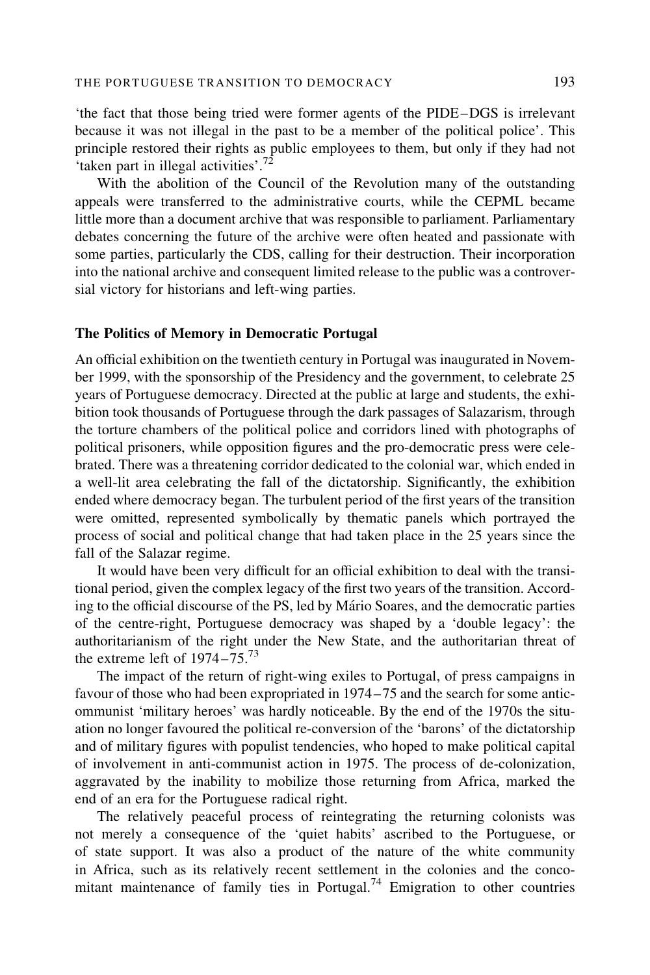'the fact that those being tried were former agents of the PIDE–DGS is irrelevant because it was not illegal in the past to be a member of the political police'. This principle restored their rights as public employees to them, but only if they had not 'taken part in illegal activities'.<sup>72</sup>

With the abolition of the Council of the Revolution many of the outstanding appeals were transferred to the administrative courts, while the CEPML became little more than a document archive that was responsible to parliament. Parliamentary debates concerning the future of the archive were often heated and passionate with some parties, particularly the CDS, calling for their destruction. Their incorporation into the national archive and consequent limited release to the public was a controversial victory for historians and left-wing parties.

#### The Politics of Memory in Democratic Portugal

An official exhibition on the twentieth century in Portugal was inaugurated in November 1999, with the sponsorship of the Presidency and the government, to celebrate 25 years of Portuguese democracy. Directed at the public at large and students, the exhibition took thousands of Portuguese through the dark passages of Salazarism, through the torture chambers of the political police and corridors lined with photographs of political prisoners, while opposition figures and the pro-democratic press were celebrated. There was a threatening corridor dedicated to the colonial war, which ended in a well-lit area celebrating the fall of the dictatorship. Significantly, the exhibition ended where democracy began. The turbulent period of the first years of the transition were omitted, represented symbolically by thematic panels which portrayed the process of social and political change that had taken place in the 25 years since the fall of the Salazar regime.

It would have been very difficult for an official exhibition to deal with the transitional period, given the complex legacy of the first two years of the transition. According to the official discourse of the PS, led by Mário Soares, and the democratic parties of the centre-right, Portuguese democracy was shaped by a 'double legacy': the authoritarianism of the right under the New State, and the authoritarian threat of the extreme left of  $1974-75.^{73}$ 

The impact of the return of right-wing exiles to Portugal, of press campaigns in favour of those who had been expropriated in 1974–75 and the search for some anticommunist 'military heroes' was hardly noticeable. By the end of the 1970s the situation no longer favoured the political re-conversion of the 'barons' of the dictatorship and of military figures with populist tendencies, who hoped to make political capital of involvement in anti-communist action in 1975. The process of de-colonization, aggravated by the inability to mobilize those returning from Africa, marked the end of an era for the Portuguese radical right.

The relatively peaceful process of reintegrating the returning colonists was not merely a consequence of the 'quiet habits' ascribed to the Portuguese, or of state support. It was also a product of the nature of the white community in Africa, such as its relatively recent settlement in the colonies and the concomitant maintenance of family ties in Portugal.<sup>74</sup> Emigration to other countries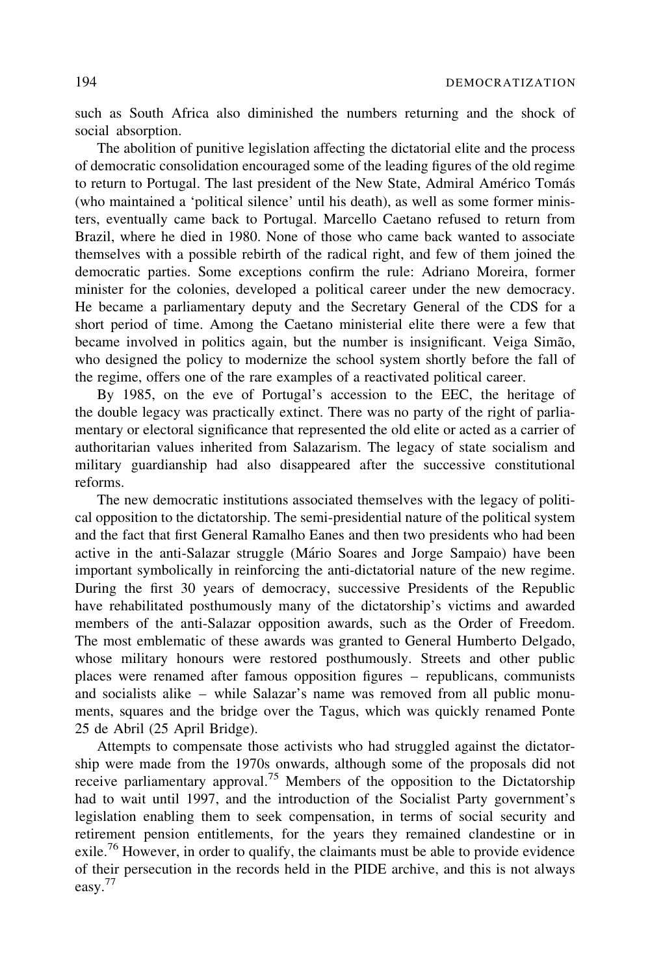such as South Africa also diminished the numbers returning and the shock of social absorption.

The abolition of punitive legislation affecting the dictatorial elite and the process of democratic consolidation encouraged some of the leading figures of the old regime to return to Portugal. The last president of the New State, Admiral Américo Tomás (who maintained a 'political silence' until his death), as well as some former ministers, eventually came back to Portugal. Marcello Caetano refused to return from Brazil, where he died in 1980. None of those who came back wanted to associate themselves with a possible rebirth of the radical right, and few of them joined the democratic parties. Some exceptions confirm the rule: Adriano Moreira, former minister for the colonies, developed a political career under the new democracy. He became a parliamentary deputy and the Secretary General of the CDS for a short period of time. Among the Caetano ministerial elite there were a few that became involved in politics again, but the number is insignificant. Veiga Simão, who designed the policy to modernize the school system shortly before the fall of the regime, offers one of the rare examples of a reactivated political career.

By 1985, on the eve of Portugal's accession to the EEC, the heritage of the double legacy was practically extinct. There was no party of the right of parliamentary or electoral significance that represented the old elite or acted as a carrier of authoritarian values inherited from Salazarism. The legacy of state socialism and military guardianship had also disappeared after the successive constitutional reforms.

The new democratic institutions associated themselves with the legacy of political opposition to the dictatorship. The semi-presidential nature of the political system and the fact that first General Ramalho Eanes and then two presidents who had been active in the anti-Salazar struggle (Ma´rio Soares and Jorge Sampaio) have been important symbolically in reinforcing the anti-dictatorial nature of the new regime. During the first 30 years of democracy, successive Presidents of the Republic have rehabilitated posthumously many of the dictatorship's victims and awarded members of the anti-Salazar opposition awards, such as the Order of Freedom. The most emblematic of these awards was granted to General Humberto Delgado, whose military honours were restored posthumously. Streets and other public places were renamed after famous opposition figures – republicans, communists and socialists alike – while Salazar's name was removed from all public monuments, squares and the bridge over the Tagus, which was quickly renamed Ponte 25 de Abril (25 April Bridge).

Attempts to compensate those activists who had struggled against the dictatorship were made from the 1970s onwards, although some of the proposals did not receive parliamentary approval.<sup>75</sup> Members of the opposition to the Dictatorship had to wait until 1997, and the introduction of the Socialist Party government's legislation enabling them to seek compensation, in terms of social security and retirement pension entitlements, for the years they remained clandestine or in exile.<sup>76</sup> However, in order to qualify, the claimants must be able to provide evidence of their persecution in the records held in the PIDE archive, and this is not always easy.<sup>77</sup>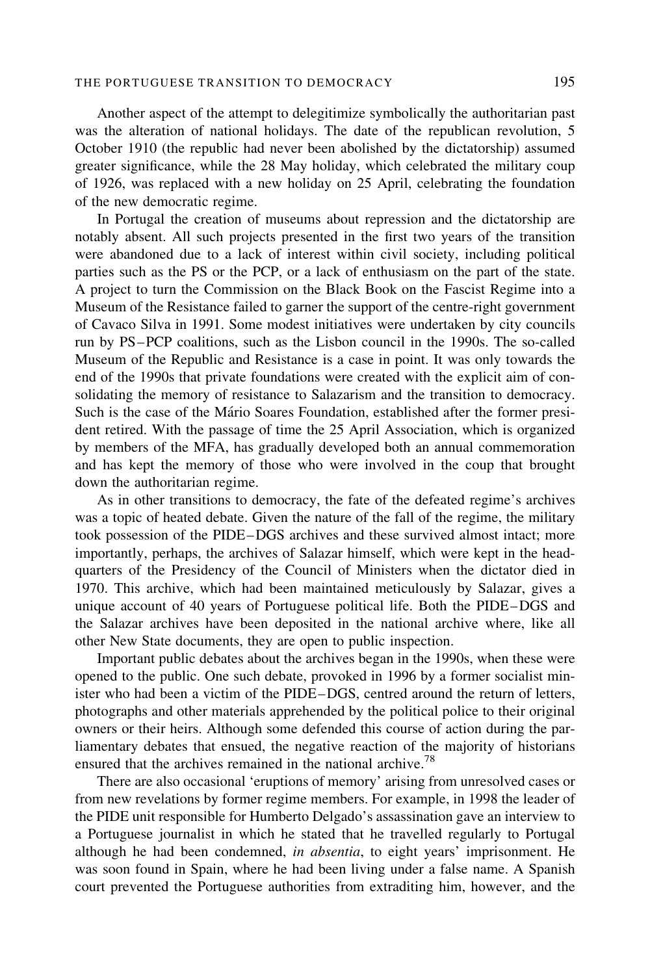Another aspect of the attempt to delegitimize symbolically the authoritarian past was the alteration of national holidays. The date of the republican revolution, 5 October 1910 (the republic had never been abolished by the dictatorship) assumed greater significance, while the 28 May holiday, which celebrated the military coup of 1926, was replaced with a new holiday on 25 April, celebrating the foundation of the new democratic regime.

In Portugal the creation of museums about repression and the dictatorship are notably absent. All such projects presented in the first two years of the transition were abandoned due to a lack of interest within civil society, including political parties such as the PS or the PCP, or a lack of enthusiasm on the part of the state. A project to turn the Commission on the Black Book on the Fascist Regime into a Museum of the Resistance failed to garner the support of the centre-right government of Cavaco Silva in 1991. Some modest initiatives were undertaken by city councils run by PS–PCP coalitions, such as the Lisbon council in the 1990s. The so-called Museum of the Republic and Resistance is a case in point. It was only towards the end of the 1990s that private foundations were created with the explicit aim of consolidating the memory of resistance to Salazarism and the transition to democracy. Such is the case of the Ma´rio Soares Foundation, established after the former president retired. With the passage of time the 25 April Association, which is organized by members of the MFA, has gradually developed both an annual commemoration and has kept the memory of those who were involved in the coup that brought down the authoritarian regime.

As in other transitions to democracy, the fate of the defeated regime's archives was a topic of heated debate. Given the nature of the fall of the regime, the military took possession of the PIDE–DGS archives and these survived almost intact; more importantly, perhaps, the archives of Salazar himself, which were kept in the headquarters of the Presidency of the Council of Ministers when the dictator died in 1970. This archive, which had been maintained meticulously by Salazar, gives a unique account of 40 years of Portuguese political life. Both the PIDE–DGS and the Salazar archives have been deposited in the national archive where, like all other New State documents, they are open to public inspection.

Important public debates about the archives began in the 1990s, when these were opened to the public. One such debate, provoked in 1996 by a former socialist minister who had been a victim of the PIDE–DGS, centred around the return of letters, photographs and other materials apprehended by the political police to their original owners or their heirs. Although some defended this course of action during the parliamentary debates that ensued, the negative reaction of the majority of historians ensured that the archives remained in the national archive.<sup>78</sup>

There are also occasional 'eruptions of memory' arising from unresolved cases or from new revelations by former regime members. For example, in 1998 the leader of the PIDE unit responsible for Humberto Delgado's assassination gave an interview to a Portuguese journalist in which he stated that he travelled regularly to Portugal although he had been condemned, in absentia, to eight years' imprisonment. He was soon found in Spain, where he had been living under a false name. A Spanish court prevented the Portuguese authorities from extraditing him, however, and the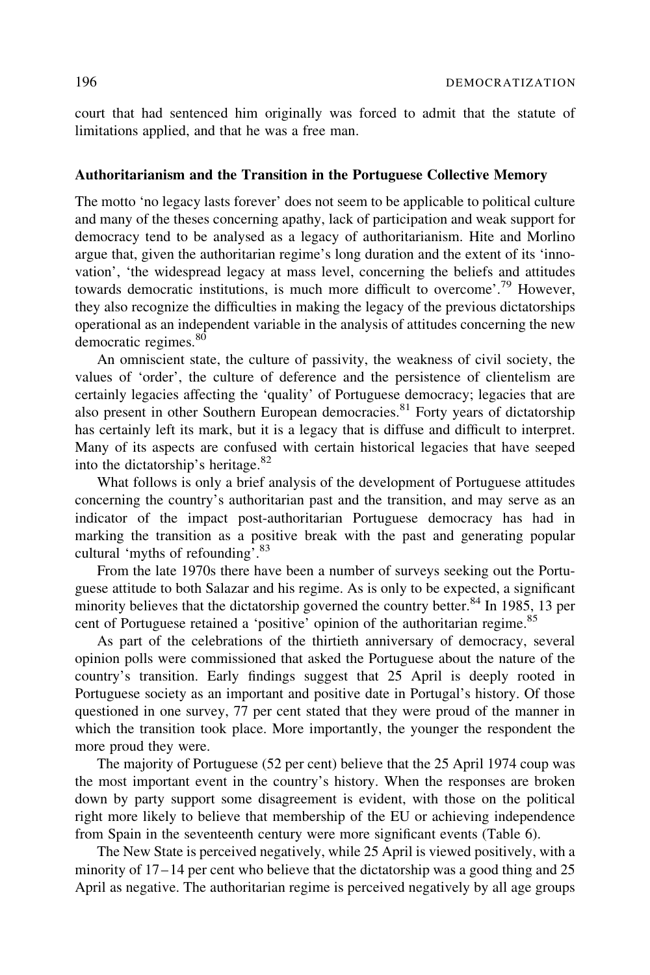court that had sentenced him originally was forced to admit that the statute of limitations applied, and that he was a free man.

## Authoritarianism and the Transition in the Portuguese Collective Memory

The motto 'no legacy lasts forever' does not seem to be applicable to political culture and many of the theses concerning apathy, lack of participation and weak support for democracy tend to be analysed as a legacy of authoritarianism. Hite and Morlino argue that, given the authoritarian regime's long duration and the extent of its 'innovation', 'the widespread legacy at mass level, concerning the beliefs and attitudes towards democratic institutions, is much more difficult to overcome'.<sup>79</sup> However, they also recognize the difficulties in making the legacy of the previous dictatorships operational as an independent variable in the analysis of attitudes concerning the new democratic regimes.<sup>80</sup>

An omniscient state, the culture of passivity, the weakness of civil society, the values of 'order', the culture of deference and the persistence of clientelism are certainly legacies affecting the 'quality' of Portuguese democracy; legacies that are also present in other Southern European democracies.<sup>81</sup> Forty years of dictatorship has certainly left its mark, but it is a legacy that is diffuse and difficult to interpret. Many of its aspects are confused with certain historical legacies that have seeped into the dictatorship's heritage.<sup>82</sup>

What follows is only a brief analysis of the development of Portuguese attitudes concerning the country's authoritarian past and the transition, and may serve as an indicator of the impact post-authoritarian Portuguese democracy has had in marking the transition as a positive break with the past and generating popular cultural 'myths of refounding'.<sup>83</sup>

From the late 1970s there have been a number of surveys seeking out the Portuguese attitude to both Salazar and his regime. As is only to be expected, a significant minority believes that the dictatorship governed the country better.<sup>84</sup> In 1985, 13 per cent of Portuguese retained a 'positive' opinion of the authoritarian regime.<sup>85</sup>

As part of the celebrations of the thirtieth anniversary of democracy, several opinion polls were commissioned that asked the Portuguese about the nature of the country's transition. Early findings suggest that 25 April is deeply rooted in Portuguese society as an important and positive date in Portugal's history. Of those questioned in one survey, 77 per cent stated that they were proud of the manner in which the transition took place. More importantly, the younger the respondent the more proud they were.

The majority of Portuguese (52 per cent) believe that the 25 April 1974 coup was the most important event in the country's history. When the responses are broken down by party support some disagreement is evident, with those on the political right more likely to believe that membership of the EU or achieving independence from Spain in the seventeenth century were more significant events (Table 6).

The New State is perceived negatively, while 25 April is viewed positively, with a minority of 17–14 per cent who believe that the dictatorship was a good thing and 25 April as negative. The authoritarian regime is perceived negatively by all age groups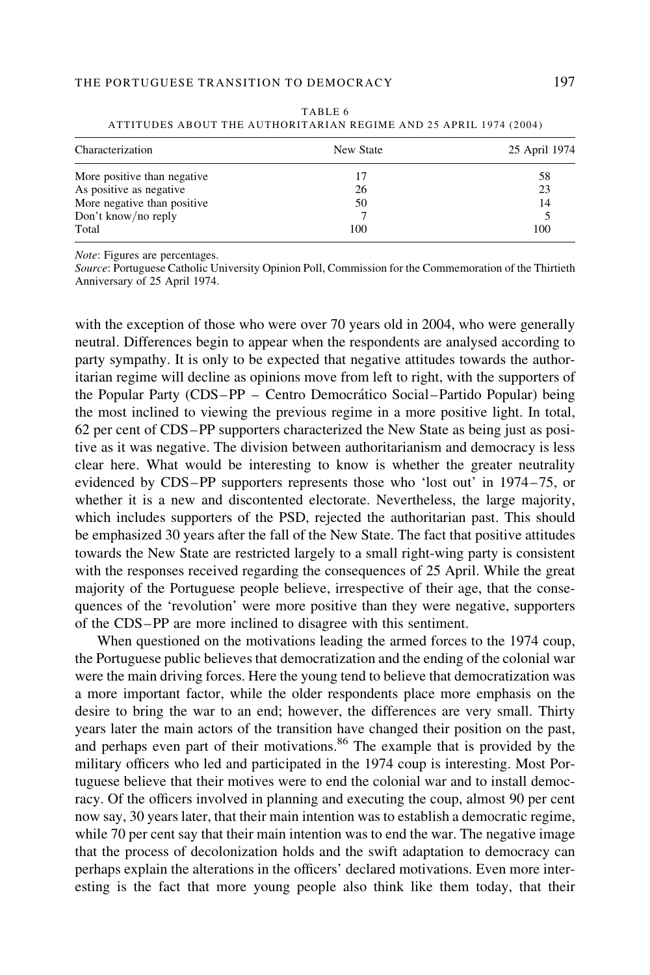| Characterization            | New State | 25 April 1974 |
|-----------------------------|-----------|---------------|
| More positive than negative |           | 58            |
| As positive as negative     | 26        | 23            |
| More negative than positive | 50        | 14            |
| Don't know/no reply         |           |               |
| Total                       | 100       | 100           |

TABLE 6 ATTITUDES ABOUT THE AUTHORITARIAN REGIME AND 25 APRIL 1974 (2004)

Note: Figures are percentages.

Source: Portuguese Catholic University Opinion Poll, Commission for the Commemoration of the Thirtieth Anniversary of 25 April 1974.

with the exception of those who were over 70 years old in 2004, who were generally neutral. Differences begin to appear when the respondents are analysed according to party sympathy. It is only to be expected that negative attitudes towards the authoritarian regime will decline as opinions move from left to right, with the supporters of the Popular Party (CDS–PP – Centro Democra´tico Social–Partido Popular) being the most inclined to viewing the previous regime in a more positive light. In total, 62 per cent of CDS–PP supporters characterized the New State as being just as positive as it was negative. The division between authoritarianism and democracy is less clear here. What would be interesting to know is whether the greater neutrality evidenced by CDS–PP supporters represents those who 'lost out' in 1974–75, or whether it is a new and discontented electorate. Nevertheless, the large majority, which includes supporters of the PSD, rejected the authoritarian past. This should be emphasized 30 years after the fall of the New State. The fact that positive attitudes towards the New State are restricted largely to a small right-wing party is consistent with the responses received regarding the consequences of 25 April. While the great majority of the Portuguese people believe, irrespective of their age, that the consequences of the 'revolution' were more positive than they were negative, supporters of the CDS–PP are more inclined to disagree with this sentiment.

When questioned on the motivations leading the armed forces to the 1974 coup, the Portuguese public believes that democratization and the ending of the colonial war were the main driving forces. Here the young tend to believe that democratization was a more important factor, while the older respondents place more emphasis on the desire to bring the war to an end; however, the differences are very small. Thirty years later the main actors of the transition have changed their position on the past, and perhaps even part of their motivations.<sup>86</sup> The example that is provided by the military officers who led and participated in the 1974 coup is interesting. Most Portuguese believe that their motives were to end the colonial war and to install democracy. Of the officers involved in planning and executing the coup, almost 90 per cent now say, 30 years later, that their main intention was to establish a democratic regime, while 70 per cent say that their main intention was to end the war. The negative image that the process of decolonization holds and the swift adaptation to democracy can perhaps explain the alterations in the officers' declared motivations. Even more interesting is the fact that more young people also think like them today, that their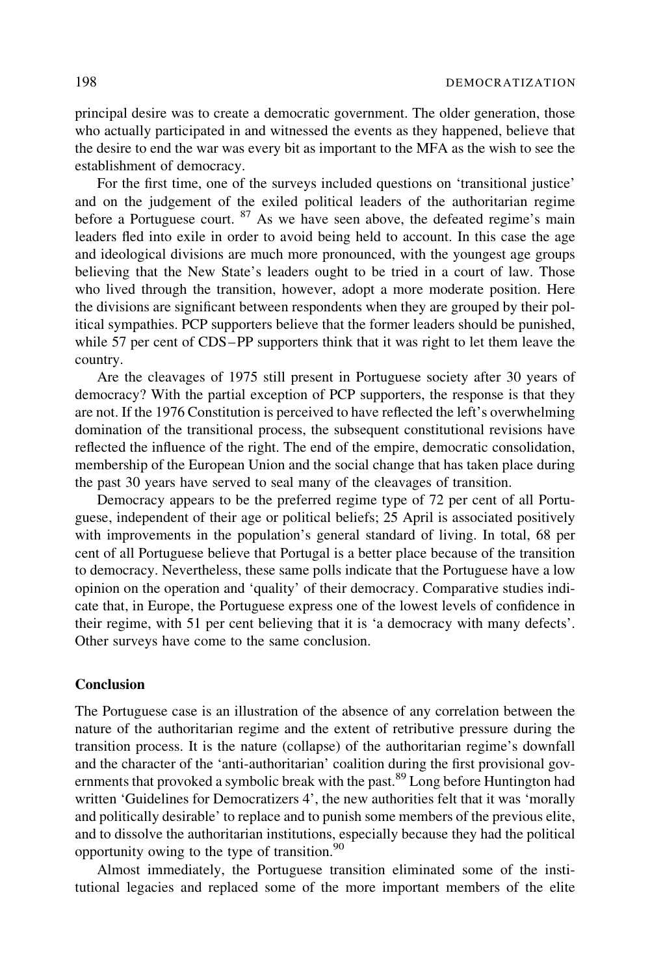principal desire was to create a democratic government. The older generation, those who actually participated in and witnessed the events as they happened, believe that the desire to end the war was every bit as important to the MFA as the wish to see the establishment of democracy.

For the first time, one of the surveys included questions on 'transitional justice' and on the judgement of the exiled political leaders of the authoritarian regime before a Portuguese court. <sup>87</sup> As we have seen above, the defeated regime's main leaders fled into exile in order to avoid being held to account. In this case the age and ideological divisions are much more pronounced, with the youngest age groups believing that the New State's leaders ought to be tried in a court of law. Those who lived through the transition, however, adopt a more moderate position. Here the divisions are significant between respondents when they are grouped by their political sympathies. PCP supporters believe that the former leaders should be punished, while 57 per cent of CDS–PP supporters think that it was right to let them leave the country.

Are the cleavages of 1975 still present in Portuguese society after 30 years of democracy? With the partial exception of PCP supporters, the response is that they are not. If the 1976 Constitution is perceived to have reflected the left's overwhelming domination of the transitional process, the subsequent constitutional revisions have reflected the influence of the right. The end of the empire, democratic consolidation, membership of the European Union and the social change that has taken place during the past 30 years have served to seal many of the cleavages of transition.

Democracy appears to be the preferred regime type of 72 per cent of all Portuguese, independent of their age or political beliefs; 25 April is associated positively with improvements in the population's general standard of living. In total, 68 per cent of all Portuguese believe that Portugal is a better place because of the transition to democracy. Nevertheless, these same polls indicate that the Portuguese have a low opinion on the operation and 'quality' of their democracy. Comparative studies indicate that, in Europe, the Portuguese express one of the lowest levels of confidence in their regime, with 51 per cent believing that it is 'a democracy with many defects'. Other surveys have come to the same conclusion.

## **Conclusion**

The Portuguese case is an illustration of the absence of any correlation between the nature of the authoritarian regime and the extent of retributive pressure during the transition process. It is the nature (collapse) of the authoritarian regime's downfall and the character of the 'anti-authoritarian' coalition during the first provisional governments that provoked a symbolic break with the past.<sup>89</sup> Long before Huntington had written 'Guidelines for Democratizers 4', the new authorities felt that it was 'morally and politically desirable' to replace and to punish some members of the previous elite, and to dissolve the authoritarian institutions, especially because they had the political opportunity owing to the type of transition.<sup>90</sup>

Almost immediately, the Portuguese transition eliminated some of the institutional legacies and replaced some of the more important members of the elite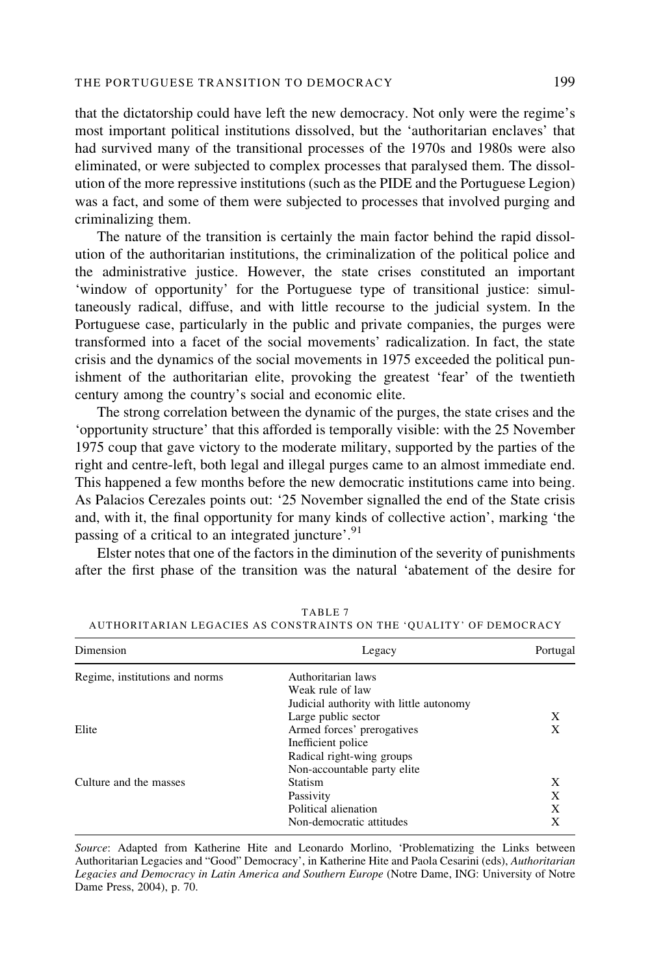that the dictatorship could have left the new democracy. Not only were the regime's most important political institutions dissolved, but the 'authoritarian enclaves' that had survived many of the transitional processes of the 1970s and 1980s were also eliminated, or were subjected to complex processes that paralysed them. The dissolution of the more repressive institutions (such as the PIDE and the Portuguese Legion) was a fact, and some of them were subjected to processes that involved purging and criminalizing them.

The nature of the transition is certainly the main factor behind the rapid dissolution of the authoritarian institutions, the criminalization of the political police and the administrative justice. However, the state crises constituted an important 'window of opportunity' for the Portuguese type of transitional justice: simultaneously radical, diffuse, and with little recourse to the judicial system. In the Portuguese case, particularly in the public and private companies, the purges were transformed into a facet of the social movements' radicalization. In fact, the state crisis and the dynamics of the social movements in 1975 exceeded the political punishment of the authoritarian elite, provoking the greatest 'fear' of the twentieth century among the country's social and economic elite.

The strong correlation between the dynamic of the purges, the state crises and the 'opportunity structure' that this afforded is temporally visible: with the 25 November 1975 coup that gave victory to the moderate military, supported by the parties of the right and centre-left, both legal and illegal purges came to an almost immediate end. This happened a few months before the new democratic institutions came into being. As Palacios Cerezales points out: '25 November signalled the end of the State crisis and, with it, the final opportunity for many kinds of collective action', marking 'the passing of a critical to an integrated juncture'.<sup>91</sup>

Elster notes that one of the factors in the diminution of the severity of punishments after the first phase of the transition was the natural 'abatement of the desire for

| Dimension                      | Legacy                                  | Portugal |
|--------------------------------|-----------------------------------------|----------|
| Regime, institutions and norms | Authoritarian laws                      |          |
|                                | Weak rule of law                        |          |
|                                | Judicial authority with little autonomy |          |
|                                | Large public sector                     | X        |
| Elite                          | Armed forces' prerogatives              | X        |
|                                | Inefficient police                      |          |
|                                | Radical right-wing groups               |          |
|                                | Non-accountable party elite             |          |
| Culture and the masses         | <b>Statism</b>                          | X        |
|                                | Passivity                               | X        |
|                                | Political alienation                    | X        |
|                                | Non-democratic attitudes                | X        |

TABLE 7 AUTHORITARIAN LEGACIES AS CONSTRAINTS ON THE 'QUALITY' OF DEMOCRACY

Source: Adapted from Katherine Hite and Leonardo Morlino, 'Problematizing the Links between Authoritarian Legacies and "Good" Democracy', in Katherine Hite and Paola Cesarini (eds), Authoritarian Legacies and Democracy in Latin America and Southern Europe (Notre Dame, ING: University of Notre Dame Press, 2004), p. 70.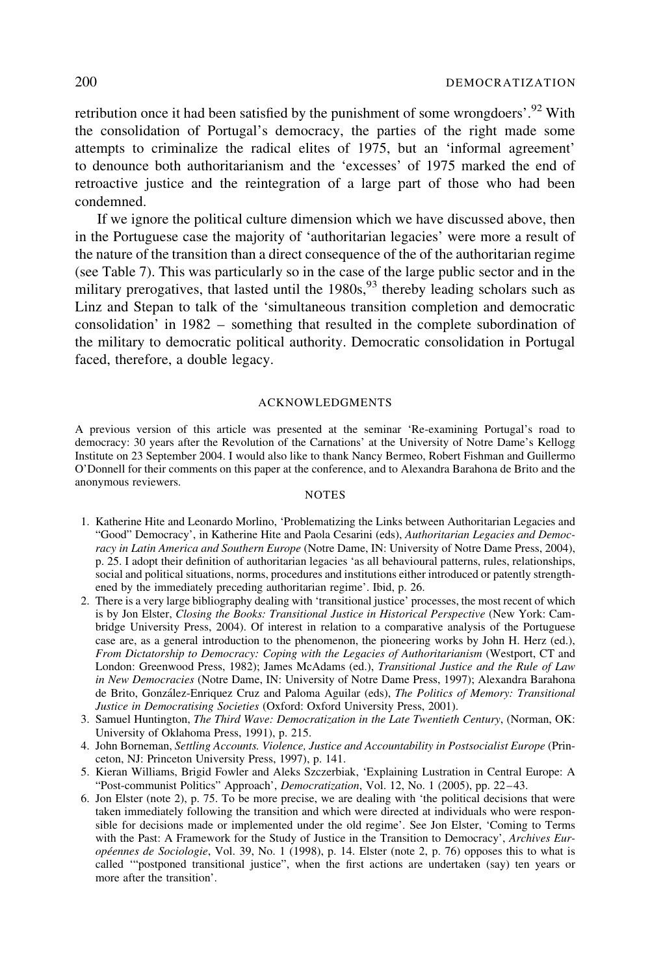retribution once it had been satisfied by the punishment of some wrongdoers'.<sup>92</sup> With the consolidation of Portugal's democracy, the parties of the right made some attempts to criminalize the radical elites of 1975, but an 'informal agreement' to denounce both authoritarianism and the 'excesses' of 1975 marked the end of retroactive justice and the reintegration of a large part of those who had been condemned.

If we ignore the political culture dimension which we have discussed above, then in the Portuguese case the majority of 'authoritarian legacies' were more a result of the nature of the transition than a direct consequence of the of the authoritarian regime (see Table 7). This was particularly so in the case of the large public sector and in the military prerogatives, that lasted until the  $1980s$ ,  $93$  thereby leading scholars such as Linz and Stepan to talk of the 'simultaneous transition completion and democratic consolidation' in 1982 – something that resulted in the complete subordination of the military to democratic political authority. Democratic consolidation in Portugal faced, therefore, a double legacy.

#### ACKNOWLEDGMENTS

A previous version of this article was presented at the seminar 'Re-examining Portugal's road to democracy: 30 years after the Revolution of the Carnations' at the University of Notre Dame's Kellogg Institute on 23 September 2004. I would also like to thank Nancy Bermeo, Robert Fishman and Guillermo O'Donnell for their comments on this paper at the conference, and to Alexandra Barahona de Brito and the anonymous reviewers.

#### NOTES

- 1. Katherine Hite and Leonardo Morlino, 'Problematizing the Links between Authoritarian Legacies and "Good" Democracy', in Katherine Hite and Paola Cesarini (eds), Authoritarian Legacies and Democracy in Latin America and Southern Europe (Notre Dame, IN: University of Notre Dame Press, 2004), p. 25. I adopt their definition of authoritarian legacies 'as all behavioural patterns, rules, relationships, social and political situations, norms, procedures and institutions either introduced or patently strengthened by the immediately preceding authoritarian regime'. Ibid, p. 26.
- 2. There is a very large bibliography dealing with 'transitional justice' processes, the most recent of which is by Jon Elster, Closing the Books: Transitional Justice in Historical Perspective (New York: Cambridge University Press, 2004). Of interest in relation to a comparative analysis of the Portuguese case are, as a general introduction to the phenomenon, the pioneering works by John H. Herz (ed.), From Dictatorship to Democracy: Coping with the Legacies of Authoritarianism (Westport, CT and London: Greenwood Press, 1982); James McAdams (ed.), Transitional Justice and the Rule of Law in New Democracies (Notre Dame, IN: University of Notre Dame Press, 1997); Alexandra Barahona de Brito, González-Enriquez Cruz and Paloma Aguilar (eds), The Politics of Memory: Transitional Justice in Democratising Societies (Oxford: Oxford University Press, 2001).
- 3. Samuel Huntington, The Third Wave: Democratization in the Late Twentieth Century, (Norman, OK: University of Oklahoma Press, 1991), p. 215.
- 4. John Borneman, Settling Accounts. Violence, Justice and Accountability in Postsocialist Europe (Princeton, NJ: Princeton University Press, 1997), p. 141.
- 5. Kieran Williams, Brigid Fowler and Aleks Szczerbiak, 'Explaining Lustration in Central Europe: A "Post-communist Politics" Approach', Democratization, Vol. 12, No. 1 (2005), pp. 22-43.
- 6. Jon Elster (note 2), p. 75. To be more precise, we are dealing with 'the political decisions that were taken immediately following the transition and which were directed at individuals who were responsible for decisions made or implemented under the old regime'. See Jon Elster, 'Coming to Terms with the Past: A Framework for the Study of Justice in the Transition to Democracy', Archives Européennes de Sociologie, Vol. 39, No. 1 (1998), p. 14. Elster (note 2, p. 76) opposes this to what is called '"postponed transitional justice", when the first actions are undertaken (say) ten years or more after the transition'.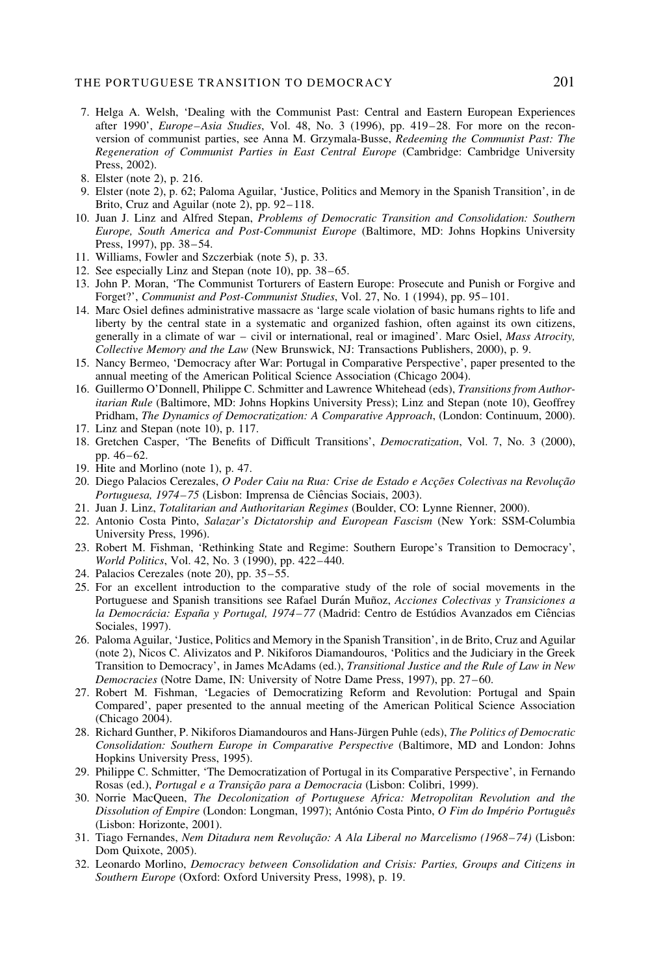- 7. Helga A. Welsh, 'Dealing with the Communist Past: Central and Eastern European Experiences after 1990', Europe–Asia Studies, Vol. 48, No. 3 (1996), pp. 419–28. For more on the reconversion of communist parties, see Anna M. Grzymala-Busse, Redeeming the Communist Past: The Regeneration of Communist Parties in East Central Europe (Cambridge: Cambridge University Press, 2002).
- 8. Elster (note 2), p. 216.
- 9. Elster (note 2), p. 62; Paloma Aguilar, 'Justice, Politics and Memory in the Spanish Transition', in de Brito, Cruz and Aguilar (note 2), pp. 92–118.
- 10. Juan J. Linz and Alfred Stepan, Problems of Democratic Transition and Consolidation: Southern Europe, South America and Post-Communist Europe (Baltimore, MD: Johns Hopkins University Press, 1997), pp. 38–54.
- 11. Williams, Fowler and Szczerbiak (note 5), p. 33.
- 12. See especially Linz and Stepan (note 10), pp. 38–65.
- 13. John P. Moran, 'The Communist Torturers of Eastern Europe: Prosecute and Punish or Forgive and Forget?', Communist and Post-Communist Studies, Vol. 27, No. 1 (1994), pp. 95–101.
- 14. Marc Osiel defines administrative massacre as 'large scale violation of basic humans rights to life and liberty by the central state in a systematic and organized fashion, often against its own citizens, generally in a climate of war – civil or international, real or imagined'. Marc Osiel, Mass Atrocity, Collective Memory and the Law (New Brunswick, NJ: Transactions Publishers, 2000), p. 9.
- 15. Nancy Bermeo, 'Democracy after War: Portugal in Comparative Perspective', paper presented to the annual meeting of the American Political Science Association (Chicago 2004).
- 16. Guillermo O'Donnell, Philippe C. Schmitter and Lawrence Whitehead (eds), Transitions from Authoritarian Rule (Baltimore, MD: Johns Hopkins University Press); Linz and Stepan (note 10), Geoffrey Pridham, The Dynamics of Democratization: A Comparative Approach, (London: Continuum, 2000).
- 17. Linz and Stepan (note 10), p. 117.
- 18. Gretchen Casper, 'The Benefits of Difficult Transitions', Democratization, Vol. 7, No. 3 (2000), pp. 46–62.
- 19. Hite and Morlino (note 1), p. 47.
- 20. Diego Palacios Cerezales, O Poder Caiu na Rua: Crise de Estado e Acções Colectivas na Revolução Portuguesa, 1974–75 (Lisbon: Imprensa de Ciências Sociais, 2003).
- 21. Juan J. Linz, Totalitarian and Authoritarian Regimes (Boulder, CO: Lynne Rienner, 2000).
- 22. Antonio Costa Pinto, Salazar's Dictatorship and European Fascism (New York: SSM-Columbia University Press, 1996).
- 23. Robert M. Fishman, 'Rethinking State and Regime: Southern Europe's Transition to Democracy', World Politics, Vol. 42, No. 3 (1990), pp. 422–440.
- 24. Palacios Cerezales (note 20), pp. 35–55.
- 25. For an excellent introduction to the comparative study of the role of social movements in the Portuguese and Spanish transitions see Rafael Durán Muñoz, Acciones Colectivas y Transiciones a la Democrácia: España y Portugal, 1974–77 (Madrid: Centro de Estúdios Avanzados em Ciências Sociales, 1997).
- 26. Paloma Aguilar, 'Justice, Politics and Memory in the Spanish Transition', in de Brito, Cruz and Aguilar (note 2), Nicos C. Alivizatos and P. Nikiforos Diamandouros, 'Politics and the Judiciary in the Greek Transition to Democracy', in James McAdams (ed.), Transitional Justice and the Rule of Law in New Democracies (Notre Dame, IN: University of Notre Dame Press, 1997), pp. 27–60.
- 27. Robert M. Fishman, 'Legacies of Democratizing Reform and Revolution: Portugal and Spain Compared', paper presented to the annual meeting of the American Political Science Association (Chicago 2004).
- 28. Richard Gunther, P. Nikiforos Diamandouros and Hans-Jürgen Puhle (eds), The Politics of Democratic Consolidation: Southern Europe in Comparative Perspective (Baltimore, MD and London: Johns Hopkins University Press, 1995).
- 29. Philippe C. Schmitter, 'The Democratization of Portugal in its Comparative Perspective', in Fernando Rosas (ed.), Portugal e a Transição para a Democracia (Lisbon: Colibri, 1999).
- 30. Norrie MacQueen, The Decolonization of Portuguese Africa: Metropolitan Revolution and the Dissolution of Empire (London: Longman, 1997); António Costa Pinto, O Fim do Império Português (Lisbon: Horizonte, 2001).
- 31. Tiago Fernandes, Nem Ditadura nem Revolução: A Ala Liberal no Marcelismo (1968–74) (Lisbon: Dom Quixote, 2005).
- 32. Leonardo Morlino, Democracy between Consolidation and Crisis: Parties, Groups and Citizens in Southern Europe (Oxford: Oxford University Press, 1998), p. 19.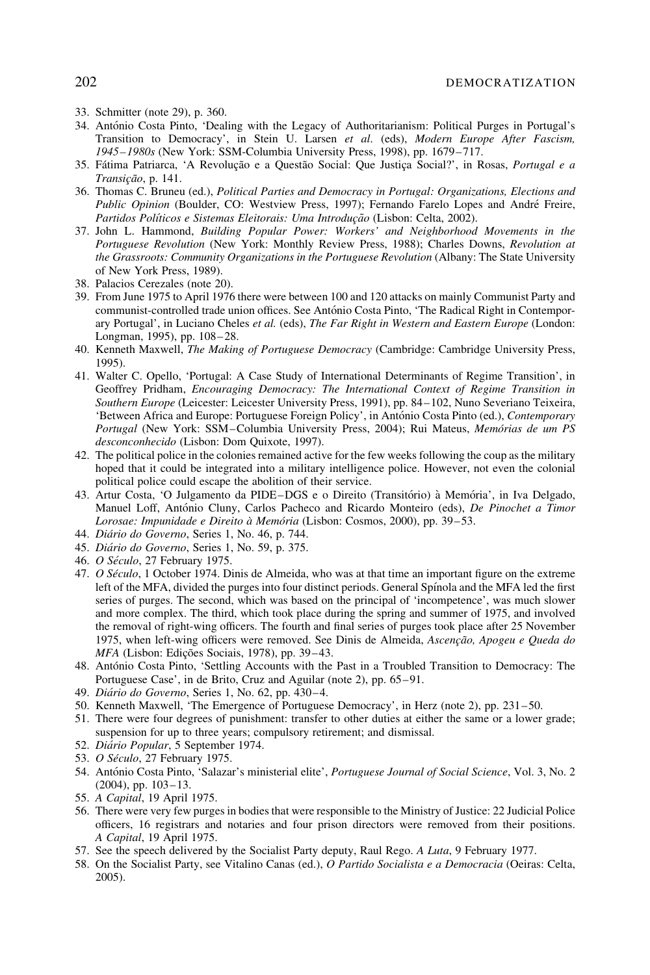- 33. Schmitter (note 29), p. 360.
- 34. Anto´nio Costa Pinto, 'Dealing with the Legacy of Authoritarianism: Political Purges in Portugal's Transition to Democracy', in Stein U. Larsen et al. (eds), Modern Europe After Fascism, 1945–1980s (New York: SSM-Columbia University Press, 1998), pp. 1679–717.
- 35. Fátima Patriarca, 'A Revolução e a Questão Social: Que Justica Social?', in Rosas, Portugal e a Transição, p. 141.
- 36. Thomas C. Bruneu (ed.), Political Parties and Democracy in Portugal: Organizations, Elections and Public Opinion (Boulder, CO: Westview Press, 1997); Fernando Farelo Lopes and André Freire, Partidos Políticos e Sistemas Eleitorais: Uma Introdução (Lisbon: Celta, 2002).
- 37. John L. Hammond, Building Popular Power: Workers' and Neighborhood Movements in the Portuguese Revolution (New York: Monthly Review Press, 1988); Charles Downs, Revolution at the Grassroots: Community Organizations in the Portuguese Revolution (Albany: The State University of New York Press, 1989).
- 38. Palacios Cerezales (note 20).
- 39. From June 1975 to April 1976 there were between 100 and 120 attacks on mainly Communist Party and communist-controlled trade union offices. See António Costa Pinto, 'The Radical Right in Contemporary Portugal', in Luciano Cheles et al. (eds), The Far Right in Western and Eastern Europe (London: Longman, 1995), pp. 108–28.
- 40. Kenneth Maxwell, The Making of Portuguese Democracy (Cambridge: Cambridge University Press, 1995).
- 41. Walter C. Opello, 'Portugal: A Case Study of International Determinants of Regime Transition', in Geoffrey Pridham, Encouraging Democracy: The International Context of Regime Transition in Southern Europe (Leicester: Leicester University Press, 1991), pp. 84–102, Nuno Severiano Teixeira, 'Between Africa and Europe: Portuguese Foreign Policy', in António Costa Pinto (ed.), Contemporary Portugal (New York: SSM–Columbia University Press, 2004); Rui Mateus, Memórias de um PS desconconhecido (Lisbon: Dom Quixote, 1997).
- 42. The political police in the colonies remained active for the few weeks following the coup as the military hoped that it could be integrated into a military intelligence police. However, not even the colonial political police could escape the abolition of their service.
- 43. Artur Costa, 'O Julgamento da PIDE–DGS e o Direito (Transitório) à Memória', in Iva Delgado, Manuel Loff, António Cluny, Carlos Pacheco and Ricardo Monteiro (eds), De Pinochet a Timor Lorosae: Impunidade e Direito à Memória (Lisbon: Cosmos, 2000), pp. 39-53.
- 44. Dia´rio do Governo, Series 1, No. 46, p. 744.
- 45. Dia´rio do Governo, Series 1, No. 59, p. 375.
- 46. O Século, 27 February 1975.
- 47. O Século, 1 October 1974. Dinis de Almeida, who was at that time an important figure on the extreme left of the MFA, divided the purges into four distinct periods. General Spinola and the MFA led the first series of purges. The second, which was based on the principal of 'incompetence', was much slower and more complex. The third, which took place during the spring and summer of 1975, and involved the removal of right-wing officers. The fourth and final series of purges took place after 25 November 1975, when left-wing officers were removed. See Dinis de Almeida, Ascenção, Apogeu e Queda do MFA (Lisbon: Edições Sociais, 1978), pp. 39-43.
- 48. António Costa Pinto, 'Settling Accounts with the Past in a Troubled Transition to Democracy: The Portuguese Case', in de Brito, Cruz and Aguilar (note 2), pp. 65–91.
- 49. Diário do Governo, Series 1, No. 62, pp. 430-4.
- 50. Kenneth Maxwell, 'The Emergence of Portuguese Democracy', in Herz (note 2), pp. 231–50.
- 51. There were four degrees of punishment: transfer to other duties at either the same or a lower grade; suspension for up to three years; compulsory retirement; and dismissal.
- 52. Diário Popular, 5 September 1974.
- 53. O Século, 27 February 1975.
- 54. António Costa Pinto, 'Salazar's ministerial elite', Portuguese Journal of Social Science, Vol. 3, No. 2 (2004), pp. 103–13.
- 55. A Capital, 19 April 1975.
- 56. There were very few purges in bodies that were responsible to the Ministry of Justice: 22 Judicial Police officers, 16 registrars and notaries and four prison directors were removed from their positions. A Capital, 19 April 1975.
- 57. See the speech delivered by the Socialist Party deputy, Raul Rego. A Luta, 9 February 1977.
- 58. On the Socialist Party, see Vitalino Canas (ed.), O Partido Socialista e a Democracia (Oeiras: Celta, 2005).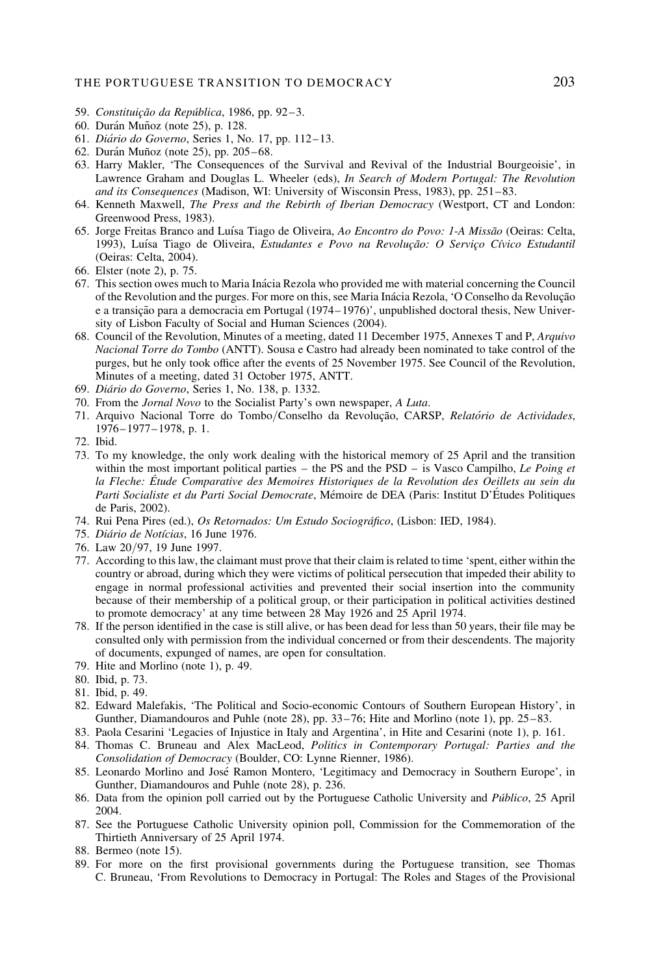- 59. Constituição da República, 1986, pp. 92-3.
- 60. Durán Muñoz (note 25), p. 128.
- 61. Dia´rio do Governo, Series 1, No. 17, pp. 112–13.
- 62. Durán Muñoz (note 25), pp. 205–68.
- 63. Harry Makler, 'The Consequences of the Survival and Revival of the Industrial Bourgeoisie', in Lawrence Graham and Douglas L. Wheeler (eds), In Search of Modern Portugal: The Revolution and its Consequences (Madison, WI: University of Wisconsin Press, 1983), pp. 251–83.
- 64. Kenneth Maxwell, The Press and the Rebirth of Iberian Democracy (Westport, CT and London: Greenwood Press, 1983).
- 65. Jorge Freitas Branco and Luísa Tiago de Oliveira, Ao Encontro do Povo: 1-A Missão (Oeiras: Celta, 1993), Luísa Tiago de Oliveira, Estudantes e Povo na Revolução: O Serviço Cívico Estudantil (Oeiras: Celta, 2004).
- 66. Elster (note 2), p. 75.
- 67. This section owes much to Maria Ina´cia Rezola who provided me with material concerning the Council of the Revolution and the purges. For more on this, see Maria Inácia Rezola, 'O Conselho da Revolução e a transição para a democracia em Portugal (1974–1976)', unpublished doctoral thesis, New University of Lisbon Faculty of Social and Human Sciences (2004).
- 68. Council of the Revolution, Minutes of a meeting, dated 11 December 1975, Annexes T and P, Arquivo Nacional Torre do Tombo (ANTT). Sousa e Castro had already been nominated to take control of the purges, but he only took office after the events of 25 November 1975. See Council of the Revolution, Minutes of a meeting, dated 31 October 1975, ANTT.
- 69. Dia´rio do Governo, Series 1, No. 138, p. 1332.
- 70. From the Jornal Novo to the Socialist Party's own newspaper, A Luta.
- 71. Arquivo Nacional Torre do Tombo/Conselho da Revolução, CARSP, Relatório de Actividades, 1976–1977–1978, p. 1.
- 72. Ibid.
- 73. To my knowledge, the only work dealing with the historical memory of 25 April and the transition within the most important political parties – the PS and the PSD – is Vasco Campilho, Le Poing et la Fleche: Étude Comparative des Memoires Historiques de la Revolution des Oeillets au sein du Parti Socialiste et du Parti Social Democrate, Mémoire de DEA (Paris: Institut D'Études Politiques de Paris, 2002).
- 74. Rui Pena Pires (ed.), Os Retornados: Um Estudo Sociográfico, (Lisbon: IED, 1984).
- 75. Diário de Notícias, 16 June 1976.
- 76. Law 20/97, 19 June 1997.
- 77. According to this law, the claimant must prove that their claim is related to time 'spent, either within the country or abroad, during which they were victims of political persecution that impeded their ability to engage in normal professional activities and prevented their social insertion into the community because of their membership of a political group, or their participation in political activities destined to promote democracy' at any time between 28 May 1926 and 25 April 1974.
- 78. If the person identified in the case is still alive, or has been dead for less than 50 years, their file may be consulted only with permission from the individual concerned or from their descendents. The majority of documents, expunged of names, are open for consultation.
- 79. Hite and Morlino (note 1), p. 49.
- 80. Ibid, p. 73.
- 81. Ibid, p. 49.
- 82. Edward Malefakis, 'The Political and Socio-economic Contours of Southern European History', in Gunther, Diamandouros and Puhle (note 28), pp. 33–76; Hite and Morlino (note 1), pp. 25–83.
- 83. Paola Cesarini 'Legacies of Injustice in Italy and Argentina', in Hite and Cesarini (note 1), p. 161.
- 84. Thomas C. Bruneau and Alex MacLeod, Politics in Contemporary Portugal: Parties and the Consolidation of Democracy (Boulder, CO: Lynne Rienner, 1986).
- 85. Leonardo Morlino and Jose´ Ramon Montero, 'Legitimacy and Democracy in Southern Europe', in Gunther, Diamandouros and Puhle (note 28), p. 236.
- 86. Data from the opinion poll carried out by the Portuguese Catholic University and Público, 25 April 2004.
- 87. See the Portuguese Catholic University opinion poll, Commission for the Commemoration of the Thirtieth Anniversary of 25 April 1974.
- 88. Bermeo (note 15).
- 89. For more on the first provisional governments during the Portuguese transition, see Thomas C. Bruneau, 'From Revolutions to Democracy in Portugal: The Roles and Stages of the Provisional